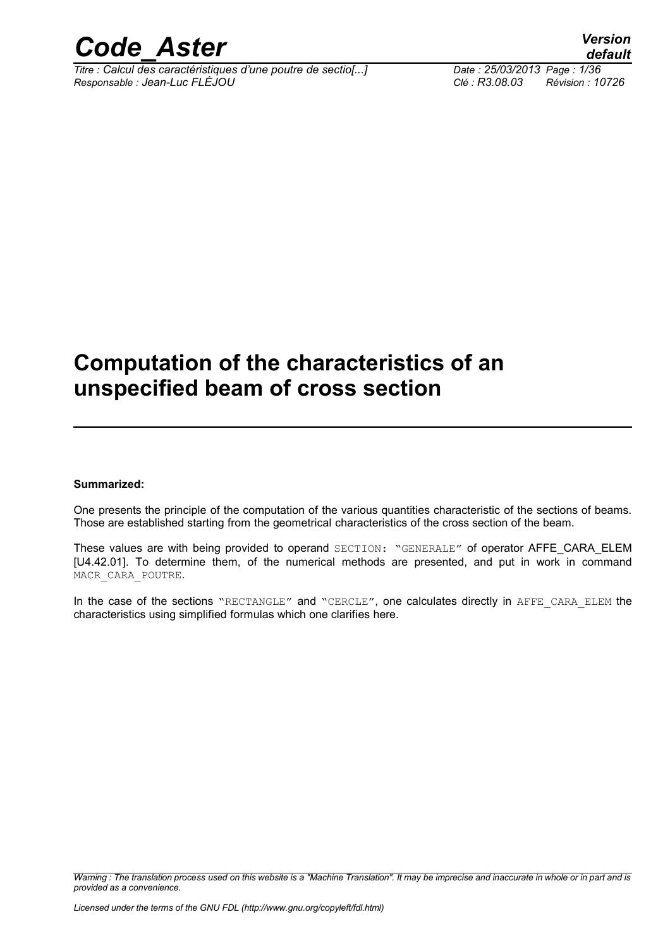

*Titre : Calcul des caractéristiques d'une poutre de sectio[...] Date : 25/03/2013 Page : 1/36 Responsable : Jean-Luc FLÉJOU Clé : R3.08.03 Révision : 10726*

*default*

### **Computation of the characteristics of an unspecified beam of cross section**

#### **Summarized:**

One presents the principle of the computation of the various quantities characteristic of the sections of beams. Those are established starting from the geometrical characteristics of the cross section of the beam.

These values are with being provided to operand SECTION: "GENERALE" of operator AFFE\_CARA\_ELEM [U4.42.01]. To determine them, of the numerical methods are presented, and put in work in command MACR\_CARA\_POUTRE.

In the case of the sections "RECTANGLE" and "CERCLE", one calculates directly in AFFE\_CARA\_ELEM the characteristics using simplified formulas which one clarifies here.

*Warning : The translation process used on this website is a "Machine Translation". It may be imprecise and inaccurate in whole or in part and is provided as a convenience.*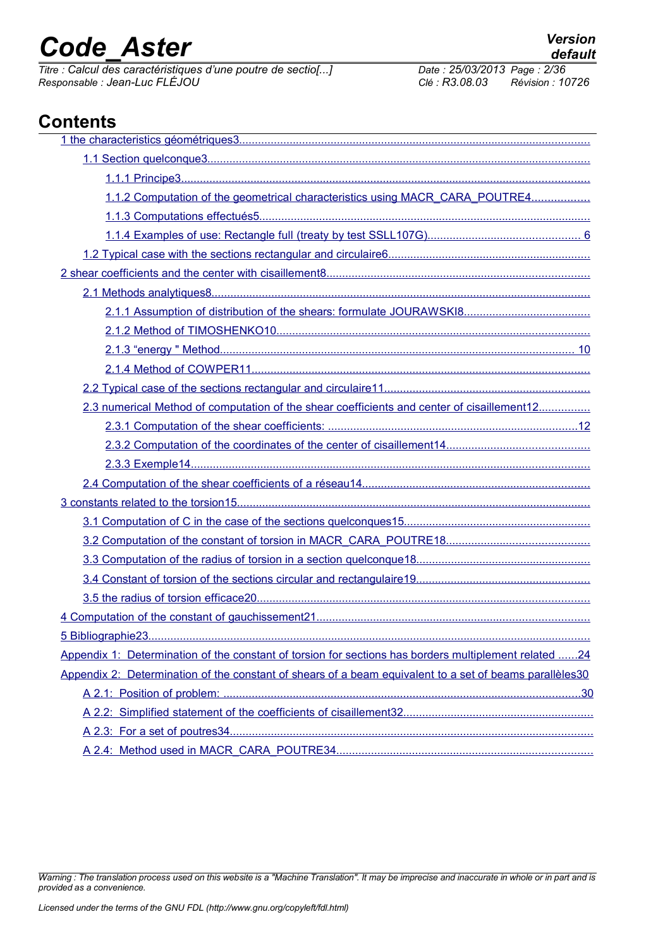*Titre : Calcul des caractéristiques d'une poutre de sectio[...] Date : 25/03/2013 Page : 2/36 Responsable : Jean-Luc FLÉJOU Clé : R3.08.03 Révision : 10726*

### **Contents**

| 1.1.2 Computation of the geometrical characteristics using MACR_CARA_POUTRE4                             |
|----------------------------------------------------------------------------------------------------------|
|                                                                                                          |
|                                                                                                          |
|                                                                                                          |
|                                                                                                          |
|                                                                                                          |
|                                                                                                          |
|                                                                                                          |
|                                                                                                          |
|                                                                                                          |
|                                                                                                          |
| 2.3 numerical Method of computation of the shear coefficients and center of cisaillement12               |
|                                                                                                          |
|                                                                                                          |
|                                                                                                          |
|                                                                                                          |
|                                                                                                          |
|                                                                                                          |
|                                                                                                          |
|                                                                                                          |
|                                                                                                          |
|                                                                                                          |
|                                                                                                          |
|                                                                                                          |
| Appendix 1: Determination of the constant of torsion for sections has borders multiplement related 24    |
| Appendix 2: Determination of the constant of shears of a beam equivalent to a set of beams paralleles 30 |
|                                                                                                          |
|                                                                                                          |
|                                                                                                          |
|                                                                                                          |

*Warning : The translation process used on this website is a "Machine Translation". It may be imprecise and inaccurate in whole or in part and is provided as a convenience.*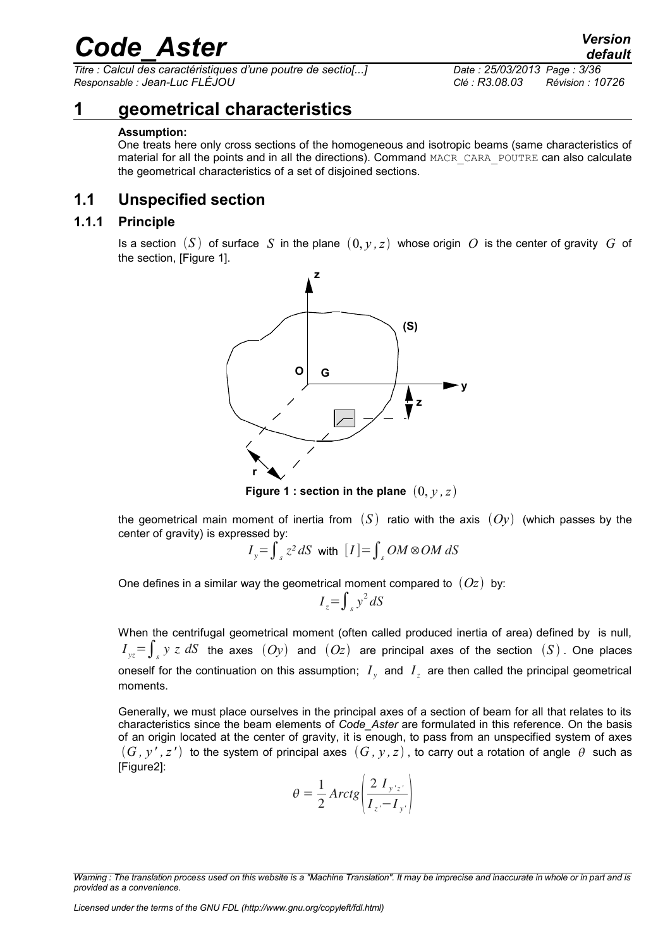*Titre : Calcul des caractéristiques d'une poutre de sectio[...] Date : 25/03/2013 Page : 3/36 Responsable : Jean-Luc FLÉJOU Clé : R3.08.03 Révision : 10726*

### **1 geometrical characteristics**

#### <span id="page-2-0"></span>**Assumption:**

One treats here only cross sections of the homogeneous and isotropic beams (same characteristics of material for all the points and in all the directions). Command MACR\_CARA\_POUTRE can also calculate the geometrical characteristics of a set of disjoined sections.

### <span id="page-2-2"></span>**1.1 Unspecified section**

### **1.1.1 Principle**

<span id="page-2-1"></span>Is a section  $(S)$  of surface *S* in the plane  $(0, y, z)$  whose origin *O* is the center of gravity *G* of the section, [Figure [1\]](#page-2-3).



<span id="page-2-3"></span>**Figure 1 : section in the plane**  $(0, y, z)$ 

the geometrical main moment of inertia from  $(S)$  ratio with the axis  $(Oy)$  (which passes by the center of gravity) is expressed by:

$$
I_y = \int_s^s z^2 dS \text{ with } [I] = \int_s OM \otimes OM dS
$$

One defines in a similar way the geometrical moment compared to  $(Oz)$  by:

$$
I_z = \int_s y^2 dS
$$

When the centrifugal geometrical moment (often called produced inertia of area) defined by is null,  $I_{yz}$ = $\int_{s}$  *y z dS* the axes  $(Oy)$  and  $(Oz)$  are principal axes of the section  $(S)$  . One places oneself for the continuation on this assumption;  $I_y$  and  $I_z$  are then called the principal geometrical moments.

Generally, we must place ourselves in the principal axes of a section of beam for all that relates to its characteristics since the beam elements of *Code\_Aster* are formulated in this reference. On the basis of an origin located at the center of gravity, it is enough, to pass from an unspecified system of axes  $(G, y', z')$  to the system of principal axes  $(G, y, z)$ , to carry out a rotation of angle  $\theta$  such as [Figur[e2\]](#page-3-1):

$$
\theta = \frac{1}{2} \operatorname{Arctg} \left( \frac{2 I_{y'z'}}{I_{z'} - I_{y'}} \right)
$$

*Warning : The translation process used on this website is a "Machine Translation". It may be imprecise and inaccurate in whole or in part and is provided as a convenience.*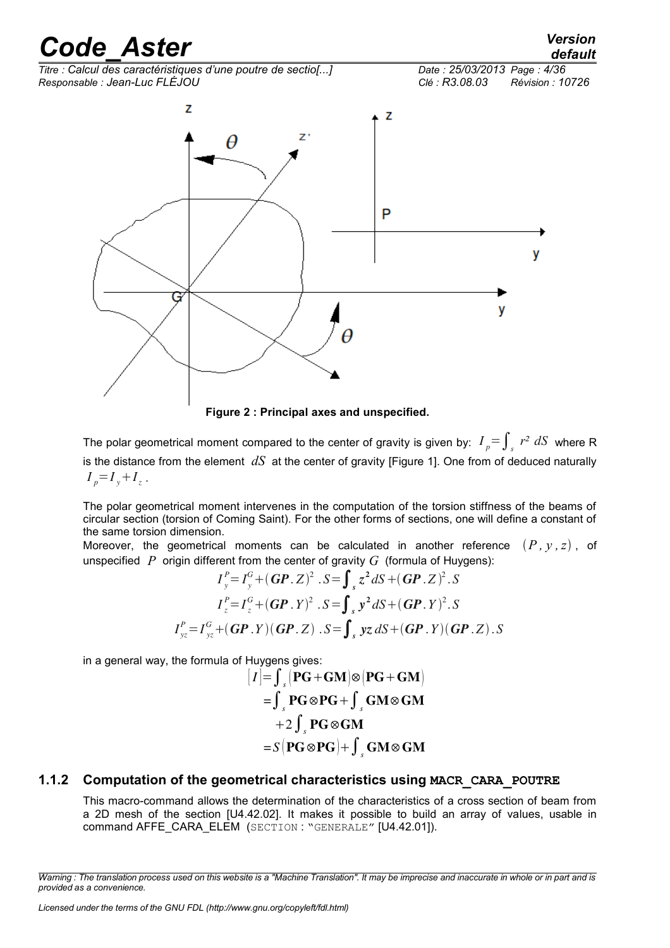



<span id="page-3-1"></span>The polar geometrical moment compared to the center of gravity is given by:  $I_{_{P}}=\int_{s}^{} \, r^2 \; dS$  where R is the distance from the element *dS* at the center of gravity [Figure [1\]](#page-2-3). One from of deduced naturally  $I_p = I_y + I_z$ .

The polar geometrical moment intervenes in the computation of the torsion stiffness of the beams of circular section (torsion of Coming Saint). For the other forms of sections, one will define a constant of the same torsion dimension.

Moreover, the geometrical moments can be calculated in another reference  $(P, y, z)$ , of unspecified  $P$  origin different from the center of gravity  $G$  (formula of Huygens):

$$
I_y^P = I_y^G + (GP \cdot Z)^2 \cdot S = \int_s^1 z^2 dS + (GP \cdot Z)^2 \cdot S
$$
  
\n
$$
I_z^P = I_z^G + (GP \cdot Y)^2 \cdot S = \int_s^1 y^2 dS + (GP \cdot Y)^2 \cdot S
$$
  
\n
$$
I_{yz}^P = I_{yz}^G + (GP \cdot Y)(GP \cdot Z) \cdot S = \int_s^1 yz dS + (GP \cdot Y)(GP \cdot Z) \cdot S
$$

in a general way, the formula of Huygens gives:

$$
[I] = \int_{s} [\mathbf{PG} + \mathbf{GM}) \otimes [\mathbf{PG} + \mathbf{GM})
$$
  
= 
$$
\int_{s} \mathbf{PG} \otimes \mathbf{PG} + \int_{s} \mathbf{GM} \otimes \mathbf{GM}
$$
  
+ 
$$
2 \int_{s} \mathbf{PG} \otimes \mathbf{GM}
$$
  
= 
$$
S [\mathbf{PG} \otimes \mathbf{PG}] + \int_{s} \mathbf{GM} \otimes \mathbf{GM}
$$

#### **1.1.2 Computation of the geometrical characteristics using MACR\_CARA\_POUTRE**

<span id="page-3-0"></span>This macro-command allows the determination of the characteristics of a cross section of beam from a 2D mesh of the section [U4.42.02]. It makes it possible to build an array of values, usable in command AFFE\_CARA\_ELEM (SECTION : "GENERALE" [U4.42.01]).

*Warning : The translation process used on this website is a "Machine Translation". It may be imprecise and inaccurate in whole or in part and is provided as a convenience.*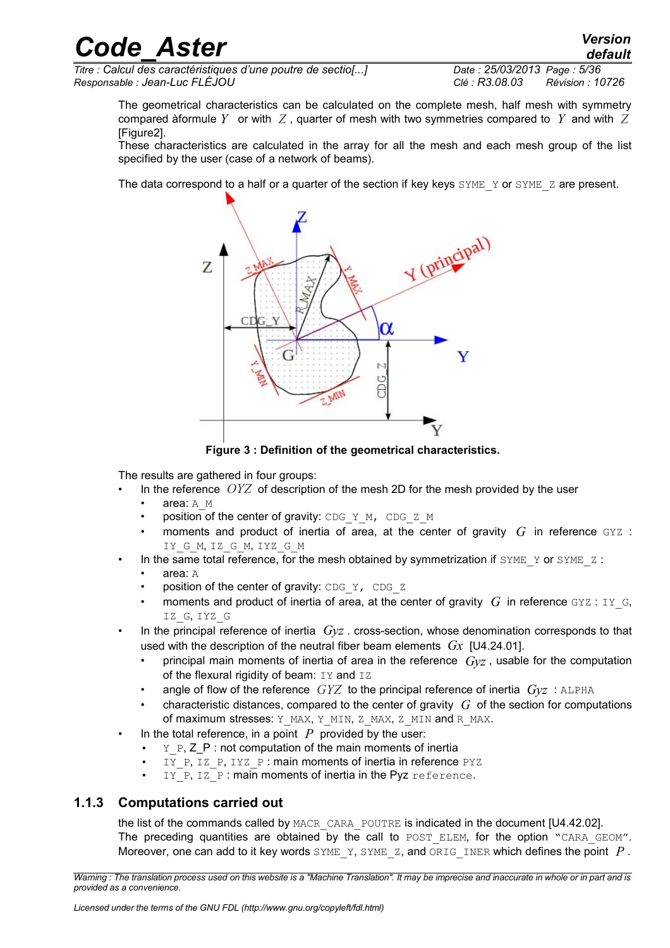*Titre : Calcul des caractéristiques d'une poutre de sectio[...] Date : 25/03/2013 Page : 5/36 Responsable : Jean-Luc FLÉJOU Clé : R3.08.03 Révision : 10726*

The geometrical characteristics can be calculated on the complete mesh, half mesh with symmetry compared àformule *Y* or with *Z* , quarter of mesh with two symmetries compared to *Y* and with *Z* [Figur[e2\]](#page-3-1).

These characteristics are calculated in the array for all the mesh and each mesh group of the list specified by the user (case of a network of beams).

The data correspond to a half or a quarter of the section if key keys  $SYME_Y$  or  $SYME_Z$  are present.



**Figure 3 : Definition of the geometrical characteristics.**

The results are gathered in four groups:

- In the reference *OYZ* of description of the mesh 2D for the mesh provided by the user
- area: A\_M
- position of the center of gravity: CDG\_Y\_M, CDG\_Z\_M
- moments and product of inertia of area, at the center of gravity  $G$  in reference  $\Im \Sigma$ : IY\_G\_M, IZ\_G\_M, IYZ\_G\_M
- In the same total reference, for the mesh obtained by symmetrization if  $\text{SWMET}$  Y or SYME\_Z :
	- area: A
	- position of the center of gravity: CDG  $Y$ , CDG  $Z$
	- moments and product of inertia of area, at the center of gravity  $G$  in reference  $GYZ : IY/G$ , IZ\_G, IYZ\_G
- In the principal reference of inertia *Gyz* . cross-section, whose denomination corresponds to that used with the description of the neutral fiber beam elements *Gx* [U4.24.01].
	- principal main moments of inertia of area in the reference *Gyz* , usable for the computation of the flexural rigidity of beam: IY and IZ
	- angle of flow of the reference  $GYZ$  to the principal reference of inertia  $G_{VZ}$ : ALPHA
	- characteristic distances, compared to the center of gravity  $G$  of the section for computations of maximum stresses: Y\_MAX, Y\_MIN, Z\_MAX, Z\_MIN and R\_MAX.
- In the total reference, in a point  $P$  provided by the user:
	- $Y_P, Z_P$  : not computation of the main moments of inertia
	- IY\_P, IZ\_P, IYZ\_P : main moments of inertia in reference PYZ
	- IY\_P, IZ\_P : main moments of inertia in the Pyz reference.

#### **1.1.3 Computations carried out**

<span id="page-4-0"></span>the list of the commands called by MACR\_CARA\_POUTRE is indicated in the document [U4.42.02]. The preceding quantities are obtained by the call to POST ELEM, for the option "CARA GEOM". Moreover, one can add to it key words  $SYME_Y$ ,  $SYME_Z$ , and  $ORIG$  INER which defines the point  $P$ .

*Warning : The translation process used on this website is a "Machine Translation". It may be imprecise and inaccurate in whole or in part and is provided as a convenience.*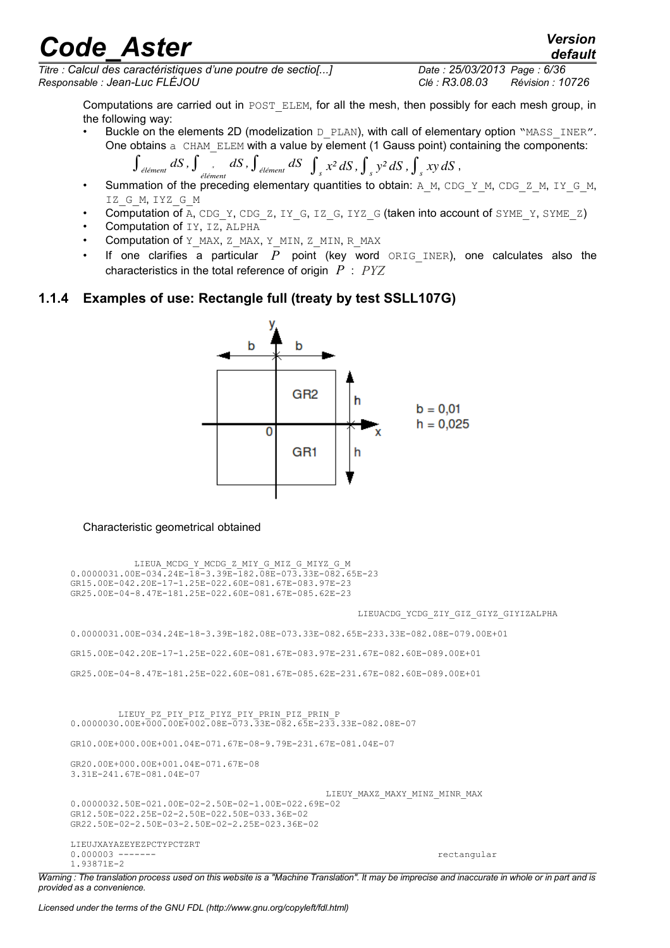*Titre : Calcul des caractéristiques d'une poutre de sectio[...] Date : 25/03/2013 Page : 6/36 Responsable : Jean-Luc FLÉJOU Clé : R3.08.03 Révision : 10726*

Computations are carried out in POST\_ELEM, for all the mesh, then possibly for each mesh group, in the following way:

Buckle on the elements 2D (modelization  $D$  PLAN), with call of elementary option "MASS INER". One obtains a CHAM ELEM with a value by element (1 Gauss point) containing the components:

 $\int_{\epsilon \in \mathcal{E}} dS$ ,  $\int_{\epsilon \in \mathcal{E}} dS$ ,  $\int_{\epsilon \in \mathcal{E}} dS$ ,  $\int_{s} x^{2} dS$ ,  $\int_{s} y^{2} dS$ ,  $\int_{s} xy dS$ , *élément*

- Summation of the preceding elementary quantities to obtain:  $A$  M, CDG  $Y$  M, CDG  $Z$  M, IY G M, IZ G M, IYZ G M
- Computation of A, CDG\_Y, CDG\_Z, IY\_G, IZ\_G, IYZ\_G (taken into account of SYME\_Y, SYME\_Z)
- Computation of IY, IZ, ALPHA
- Computation of Y\_MAX, Z\_MAX, Y\_MIN, Z\_MIN, R\_MAX
- <span id="page-5-0"></span>If one clarifies a particular P point (key word ORIG INER), one calculates also the characteristics in the total reference of origin *P* : *PYZ*

### **1.1.4 Examples of use: Rectangle full (treaty by test SSLL107G)**



#### Characteristic geometrical obtained

```
LIEUA_MCDG_Y_MCDG_Z_MIY_G_MIZ_G_MIYZ_G_M
0.0000031.00E-034.24E-18-3.39E-182.08E-073.33E-082.65E-23
GR15.00E-042.20E-17-1.25E-022.60E-081.67E-083.97E-23
GR25.00E-04-8.47E-181.25E-022.60E-081.67E-085.62E-23
                                                  LIEUACDG_YCDG_ZIY_GIZ_GIYZ_GIYIZALPHA
0.0000031.00E-034.24E-18-3.39E-182.08E-073.33E-082.65E-233.33E-082.08E-079.00E+01
GR15.00E-042.20E-17-1.25E-022.60E-081.67E-083.97E-231.67E-082.60E-089.00E+01
GR25.00E-04-8.47E-181.25E-022.60E-081.67E-085.62E-231.67E-082.60E-089.00E+01
        LIEUY_PZ_PIY_PIZ_PIYZ_PIY_PRIN_PIZ_PRIN_P
0.0000030.00E+000.00E+002.08E-073.33E-082.65E-233.33E-082.08E-07
GR10.00E+000.00E+001.04E-071.67E-08-9.79E-231.67E-081.04E-07
GR20.00E+000.00E+001.04E-071.67E-08
3.31E-241.67E-081.04E-07
                                            LIEUY_MAXZ_MAXY_MINZ_MINR_MAX
0.0000032.50E-021.00E-02-2.50E-02-1.00E-022.69E-02
GR12.50E-022.25E-02-2.50E-022.50E-033.36E-02
GR22.50E-02-2.50E-03-2.50E-02-2.25E-023.36E-02
LIEUJXAYAZEYEZPCTYPCTZRT
0.000003 -------
1.93871E-2
```
*Warning : The translation process used on this website is a "Machine Translation". It may be imprecise and inaccurate in whole or in part and is provided as a convenience.*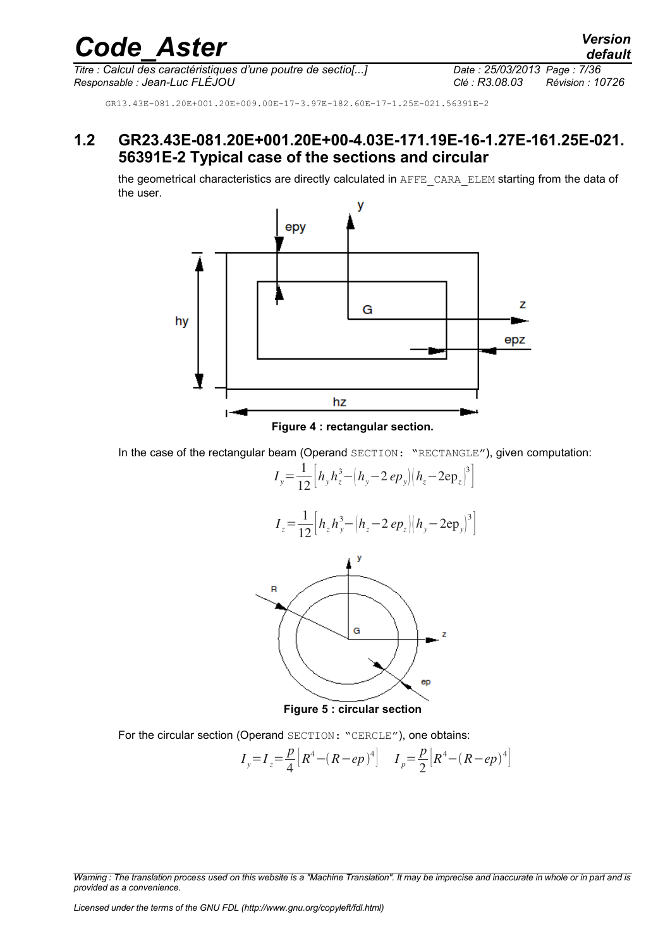| <b>Code Aster</b>                                            | <b>Version</b><br>default   |
|--------------------------------------------------------------|-----------------------------|
| Titre : Calcul des caractéristiques d'une poutre de sectiol1 | Date: 25/03/2013 Page: 7/36 |

*Titre : Calcul des caractéristiques d'une poutre de sectio[...] Date : 25/03/2013 Page : 7/36 Responsable : Jean-Luc FLÉJOU Clé : R3.08.03 Révision : 10726*

<span id="page-6-0"></span>GR13.43E-081.20E+001.20E+009.00E-17-3.97E-182.60E-17-1.25E-021.56391E-2

### **1.2 GR23.43E-081.20E+001.20E+00-4.03E-171.19E-16-1.27E-161.25E-021. 56391E-2 Typical case of the sections and circular**

the geometrical characteristics are directly calculated in AFFE\_CARA\_ELEM starting from the data of the user.



<span id="page-6-1"></span>**Figure 4 : rectangular section.**

In the case of the rectangular beam (Operand SECTION: "RECTANGLE"), given computation:

 $\mathbb{I}$ 

 $\mathbb{L}$ 

$$
I_{y} = \frac{1}{12} \Big[ h_{y} h_{z}^{3} - \Big( h_{y} - 2 e p_{y} \Big) \Big( h_{z} - 2 e p_{z} \Big)^{3} \Big]
$$
\n
$$
I_{z} = \frac{1}{12} \Big[ h_{z} h_{y}^{3} - \Big( h_{z} - 2 e p_{z} \Big) \Big( h_{y} - 2 e p_{y} \Big)^{3} \Big]
$$
\nA

\nB

\nB

**Figure 5 : circular section**

For the circular section (Operand SECTION: "CERCLE"), one obtains:

$$
I_{y} = I_{z} = \frac{p}{4} \left[ R^{4} - (R - ep)^{4} \right] \quad I_{p} = \frac{p}{2} \left[ R^{4} - (R - ep)^{4} \right]
$$

*Warning : The translation process used on this website is a "Machine Translation". It may be imprecise and inaccurate in whole or in part and is provided as a convenience.*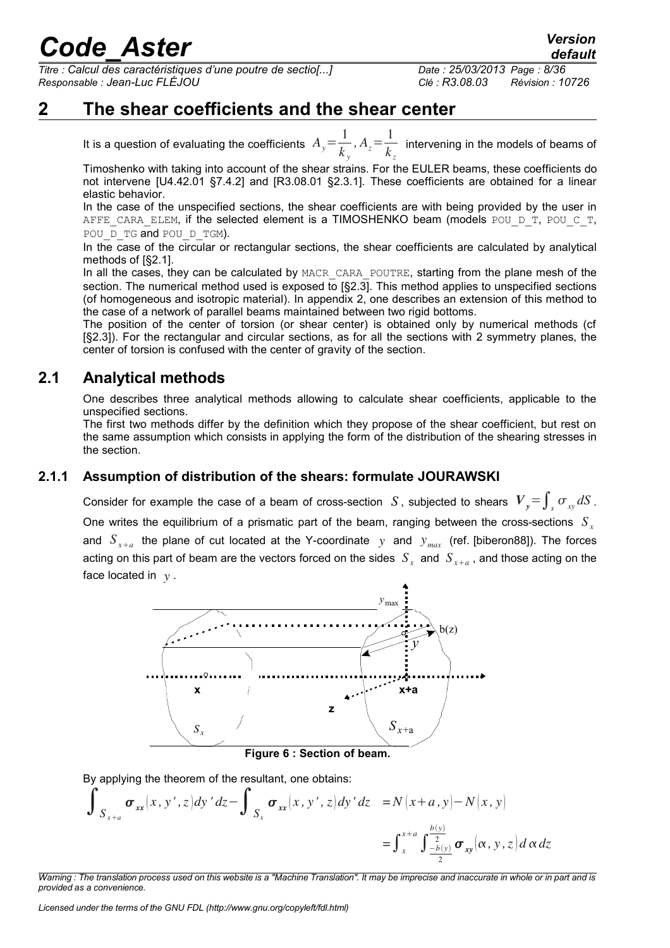*Titre : Calcul des caractéristiques d'une poutre de sectio[...] Date : 25/03/2013 Page : 8/36 Responsable : Jean-Luc FLÉJOU Clé : R3.08.03 Révision : 10726*

*default*

### **2 The shear coefficients and the shear center**

<span id="page-7-2"></span>It is a question of evaluating the coefficients  $A_y = \frac{1}{L}$ *k y*  $A_z = \frac{1}{l_z}$  $\overline{k}_z^{\phantom{\dag}}$  intervening in the models of beams of

Timoshenko with taking into account of the shear strains. For the EULER beams, these coefficients do not intervene [U4.42.01 §7.4.2] and [R3.08.01 §2.3.1]. These coefficients are obtained for a linear elastic behavior.

In the case of the unspecified sections, the shear coefficients are with being provided by the user in AFFE CARA ELEM, if the selected element is a TIMOSHENKO beam (models POU D T, POU C T, POU D TG and POU D TGM).

In the case of the circular or rectangular sections, the shear coefficients are calculated by analytical methods of [§2.1].

In all the cases, they can be calculated by MACR\_CARA\_POUTRE, starting from the plane mesh of the section. The numerical method used is exposed to [§2.3]. This method applies to unspecified sections (of homogeneous and isotropic material). In appendix 2, one describes an extension of this method to the case of a network of parallel beams maintained between two rigid bottoms.

The position of the center of torsion (or shear center) is obtained only by numerical methods (cf [§2.3]). For the rectangular and circular sections, as for all the sections with 2 symmetry planes, the center of torsion is confused with the center of gravity of the section.

### **2.1 Analytical methods**

<span id="page-7-1"></span>One describes three analytical methods allowing to calculate shear coefficients, applicable to the unspecified sections.

The first two methods differ by the definition which they propose of the shear coefficient, but rest on the same assumption which consists in applying the form of the distribution of the shearing stresses in the section.

#### **2.1.1 Assumption of distribution of the shears: formulate JOURAWSKI**

<span id="page-7-0"></span>Consider for example the case of a beam of cross-section  $|S|$ , subjected to shears  $|V_{|y} = \int_s \sigma_{xy} dS$  .

One writes the equilibrium of a prismatic part of the beam, ranging between the cross-sections *S<sup>x</sup>* and *Sx<sup>a</sup>* the plane of cut located at the Y-coordinate *y* and *ymax* (ref. [biberon[88\]](#page-22-1)). The forces acting on this part of beam are the vectors forced on the sides  $|S_x|$  and  $|S_{x+a}|$ , and those acting on the face located in *y* .



<span id="page-7-3"></span>

By applying the theorem of the resultant, one obtains:

$$
\int_{S_{x+a}} \sigma_{xx}(x, y', z) dy' dz - \int_{S_x} \sigma_{xx}(x, y', z) dy' dz = N(x+a, y) - N(x, y)
$$
  
= 
$$
\int_{x}^{x+a} \int_{-\frac{b(y)}{2}}^{\frac{b(y)}{2}} \sigma_{xy}(\alpha, y, z) d\alpha dz
$$

*Warning : The translation process used on this website is a "Machine Translation". It may be imprecise and inaccurate in whole or in part and is provided as a convenience.*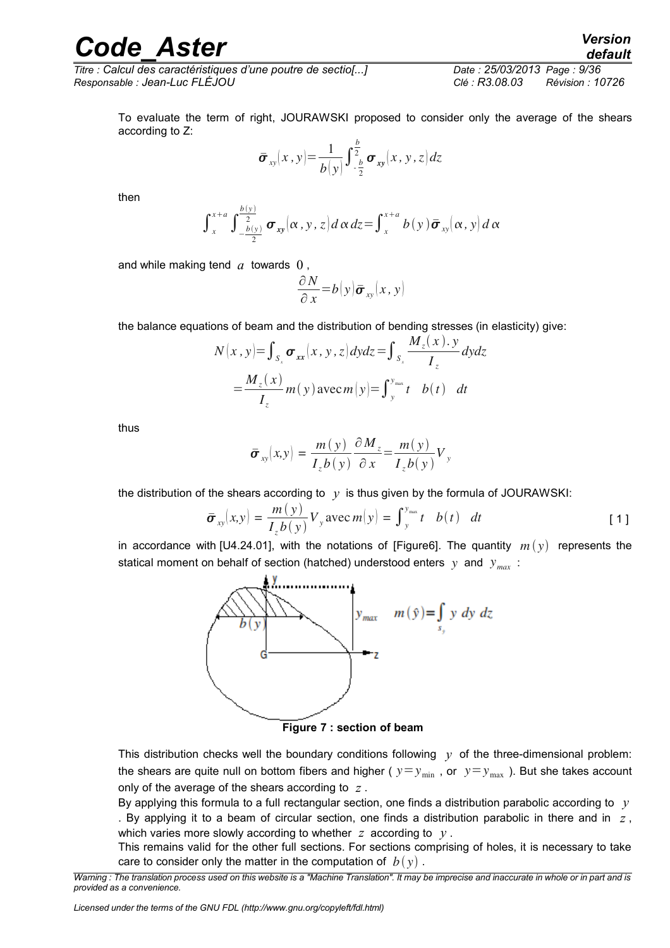*Titre : Calcul des caractéristiques d'une poutre de sectio[...] Date : 25/03/2013 Page : 9/36 Responsable : Jean-Luc FLÉJOU Clé : R3.08.03 Révision : 10726*

To evaluate the term of right, JOURAWSKI proposed to consider only the average of the shears according to Z:

$$
\boldsymbol{\bar{\sigma}}_{xy}(x,y) = \frac{1}{b(y)} \int_{-\frac{b}{2}}^{\frac{b}{2}} \boldsymbol{\sigma}_{xy}(x,y,z) dz
$$

then

$$
\int_{x}^{x+a} \int_{-\frac{b(y)}{2}}^{\frac{b(y)}{2}} \sigma_{xy}(\alpha, y, z) d\alpha dz = \int_{x}^{x+a} b(y) \overline{\sigma}_{xy}(\alpha, y) d\alpha
$$

and while making tend *a* towards 0 ,

$$
\frac{\partial N}{\partial x} = b(y)\bar{\boldsymbol{\sigma}}_{xy}(x, y)
$$

the balance equations of beam and the distribution of bending stresses (in elasticity) give:

$$
N(x, y) = \int_{S_x} \sigma_{xx}(x, y, z) dydz = \int_{S_x} \frac{M_z(x), y}{I_z} dydz
$$

$$
= \frac{M_z(x)}{I_z} m(y) \operatorname{avec} m(y) = \int_{y}^{y_{\text{max}}} t \quad b(t) \quad dt
$$

thus

<span id="page-8-0"></span>
$$
\bar{\boldsymbol{\sigma}}_{xy}\big(x,y\big) = \frac{m(y)}{I_z b(y)} \frac{\partial M_z}{\partial x} = \frac{m(y)}{I_z b(y)} V_y
$$

the distribution of the shears according to  $y$  is thus given by the formula of JOURAWSKI:

$$
\bar{\sigma}_{xy}(x,y) = \frac{m(y)}{I_z b(y)} V_y \text{ avec } m(y) = \int_{y}^{y_{\text{max}}} t \quad b(t) \quad dt
$$
 [1]

in accordance with [U4.24.01], with the notations of [Figur[e6\]](#page-7-3). The quantity  $m(y)$  represents the statical moment on behalf of section (hatched) understood enters *y* and *ymax* :



**Figure 7 : section of beam**

This distribution checks well the boundary conditions following *y* of the three-dimensional problem: the shears are quite null on bottom fibers and higher ( $y=y_{min}$ , or  $y=y_{max}$ ). But she takes account only of the average of the shears according to *z* .

By applying this formula to a full rectangular section, one finds a distribution parabolic according to *y* . By applying it to a beam of circular section, one finds a distribution parabolic in there and in  $z$ , which varies more slowly according to whether *z* according to *y* .

This remains valid for the other full sections. For sections comprising of holes, it is necessary to take care to consider only the matter in the computation of  $b(y)$ .

*Licensed under the terms of the GNU FDL (http://www.gnu.org/copyleft/fdl.html)*

*Warning : The translation process used on this website is a "Machine Translation". It may be imprecise and inaccurate in whole or in part and is provided as a convenience.*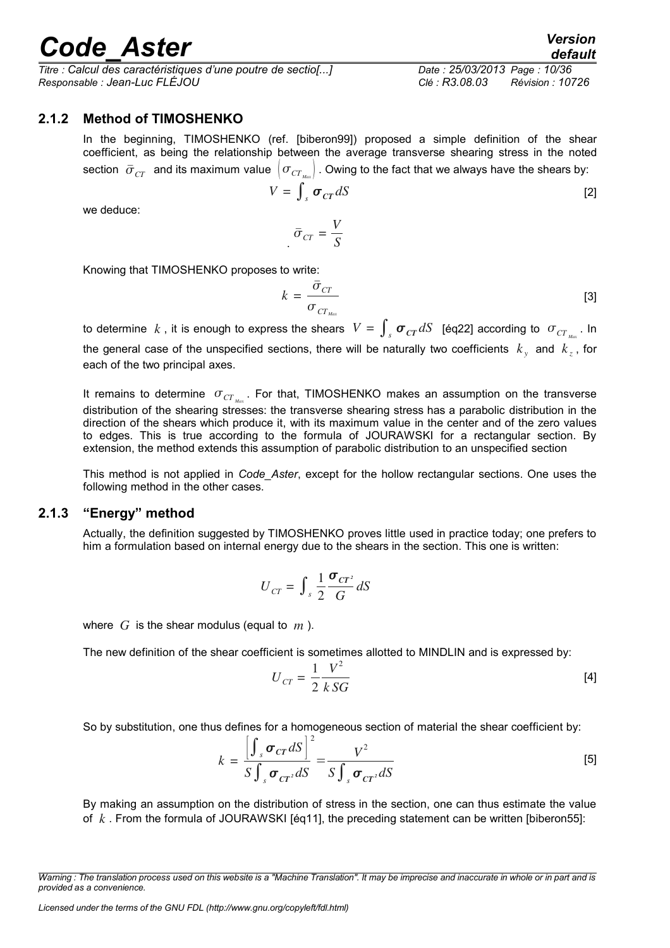*Titre : Calcul des caractéristiques d'une poutre de sectio[...] Date : 25/03/2013 Page : 10/36 Responsable : Jean-Luc FLÉJOU Clé : R3.08.03 Révision : 10726*

#### **2.1.2 Method of TIMOSHENKO**

<span id="page-9-2"></span>

<span id="page-9-1"></span>In the beginning, TIMOSHENKO (ref. [biberon[99\]](#page-22-3)) proposed a simple definition of the shear coefficient, as being the relationship between the average transverse shearing stress in the noted section  $\bar{\sigma}_{CT}$  and its maximum value  $|\sigma_{CT}|\rangle$ . Owing to the fact that we always have the shears by:

$$
V = \int_{s}^{\infty} \sigma_{CT} dS
$$
 [2]

we deduce:

$$
\bar{\sigma}_{cr} = \frac{V}{S}
$$

Knowing that TIMOSHENKO proposes to write:

$$
k = \frac{\bar{\sigma}_{CT}}{\sigma_{CT_{Max}}} \tag{3}
$$

to determine  $k$  , it is enough to express the shears  $\;V=\int_s\bm{\sigma}_{CT}dS\;$  [éq[22\]](#page-9-2) according to  $\;\sigma_{_{CT_{Max}}}$  . In the general case of the unspecified sections, there will be naturally two coefficients  $k_{y}^{}$  and  $k_{z}^{}$  , for each of the two principal axes.

It remains to determine  $\sigma_{CT_{Max}}$ . For that, TIMOSHENKO makes an assumption on the transverse distribution of the shearing stresses: the transverse shearing stress has a parabolic distribution in the direction of the shears which produce it, with its maximum value in the center and of the zero values to edges. This is true according to the formula of JOURAWSKI for a rectangular section. By extension, the method extends this assumption of parabolic distribution to an unspecified section

This method is not applied in *Code\_Aster*, except for the hollow rectangular sections. One uses the following method in the other cases.

#### **2.1.3 "Energy" method**

<span id="page-9-0"></span>Actually, the definition suggested by TIMOSHENKO proves little used in practice today; one prefers to him a formulation based on internal energy due to the shears in the section. This one is written:

$$
U_{CT} = \int_s \frac{1}{2} \frac{\sigma_{CT^2}}{G} dS
$$

where *G* is the shear modulus (equal to *m* ).

The new definition of the shear coefficient is sometimes allotted to MINDLIN and is expressed by:

$$
U_{CT} = \frac{1}{2} \frac{V^2}{kSG} \tag{4}
$$

So by substitution, one thus defines for a homogeneous section of material the shear coefficient by:

$$
k = \frac{\left[\int_{s} \sigma_{cr} dS\right]^{2}}{S \int_{s} \sigma_{cr'} dS} = \frac{V^{2}}{S \int_{s} \sigma_{cr'} dS}
$$
 [5]

By making an assumption on the distribution of stress in the section, one can thus estimate the value of *k* . From the formula of JOURAWSKI [éq[11\]](#page-8-0), the preceding statement can be written [biberon[55\]](#page-22-2):

*Warning : The translation process used on this website is a "Machine Translation". It may be imprecise and inaccurate in whole or in part and is provided as a convenience.*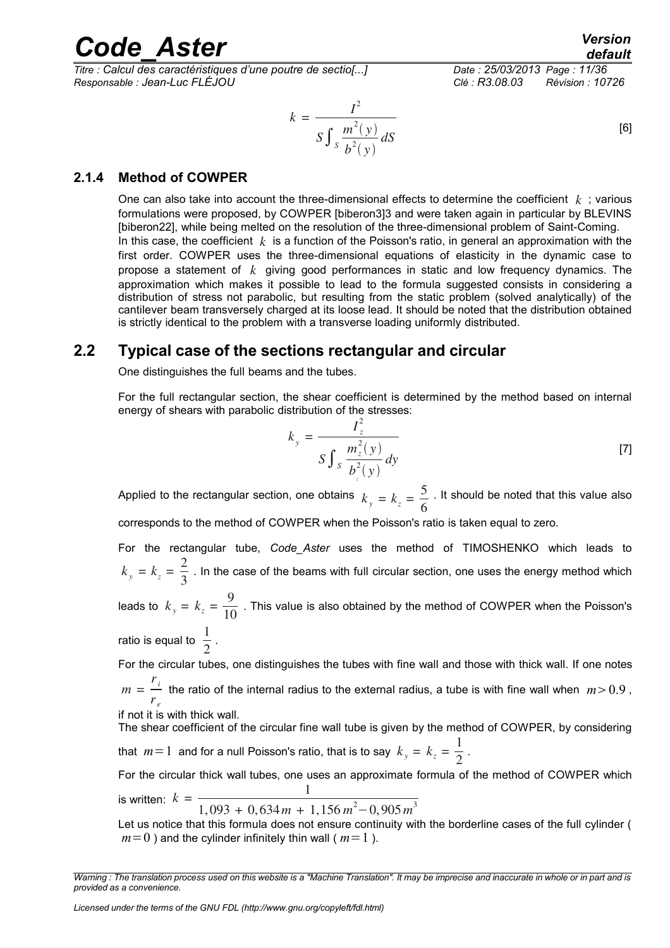*Titre : Calcul des caractéristiques d'une poutre de sectio[...] Date : 25/03/2013 Page : 11/36 Responsable : Jean-Luc FLÉJOU Clé : R3.08.03 Révision : 10726*



*default*

[6]

### **2.1.4 Method of COWPER**

<span id="page-10-1"></span>One can also take into account the three-dimensional effects to determine the coefficient *k* ; various formulations were proposed, by COWPER [biberon3[\]3](#page-22-5) and were taken again in particular by BLEVINS [biberon[22\]](#page-22-4), while being melted on the resolution of the three-dimensional problem of Saint-Coming. In this case, the coefficient *k* is a function of the Poisson's ratio, in general an approximation with the first order. COWPER uses the three-dimensional equations of elasticity in the dynamic case to propose a statement of *k* giving good performances in static and low frequency dynamics. The approximation which makes it possible to lead to the formula suggested consists in considering a distribution of stress not parabolic, but resulting from the static problem (solved analytically) of the cantilever beam transversely charged at its loose lead. It should be noted that the distribution obtained is strictly identical to the problem with a transverse loading uniformly distributed.

### **2.2 Typical case of the sections rectangular and circular**

<span id="page-10-0"></span>One distinguishes the full beams and the tubes.

For the full rectangular section, the shear coefficient is determined by the method based on internal energy of shears with parabolic distribution of the stresses:

$$
k_{y} = \frac{I_{z}^{2}}{S \int_{S} \frac{m_{z}^{2}(y)}{b^{2}(y)} dy}
$$
 [7]

Applied to the rectangular section, one obtains  $k_y = k_z = \frac{5}{6}$ 6 . It should be noted that this value also

corresponds to the method of COWPER when the Poisson's ratio is taken equal to zero.

For the rectangular tube, *Code\_Aster* uses the method of TIMOSHENKO which leads to  $k_y = k_z = \frac{2}{3}$  $\frac{2}{3}$  . In the case of the beams with full circular section, one uses the energy method which

leads to  $k_y = k_z = \frac{9}{10}$  $\frac{1}{10}$  . This value is also obtained by the method of COWPER when the Poisson's

ratio is equal to  $\frac{1}{2}$  $\frac{1}{2}$ .

For the circular tubes, one distinguishes the tubes with fine wall and those with thick wall. If one notes  $m = \frac{r_i}{r}$ *r e* the ratio of the internal radius to the external radius, a tube is with fine wall when  $m\!>\!0.9$  ,

if not it is with thick wall.

The shear coefficient of the circular fine wall tube is given by the method of COWPER, by considering that  $m\!=\!1\,$  and for a null Poisson's ratio, that is to say  $\,k_{_y}=\,k_{_z}=\frac{1}{2}$  $\frac{1}{2}$ .

For the circular thick wall tubes, one uses an approximate formula of the method of COWPER which is written:  $k = -$ 1

 $1,093 + 0,634m + 1,156m^2 - 0,905m^3$ 

Let us notice that this formula does not ensure continuity with the borderline cases of the full cylinder (  $m=0$  ) and the cylinder infinitely thin wall ( $m=1$ ).

*Warning : The translation process used on this website is a "Machine Translation". It may be imprecise and inaccurate in whole or in part and is provided as a convenience.*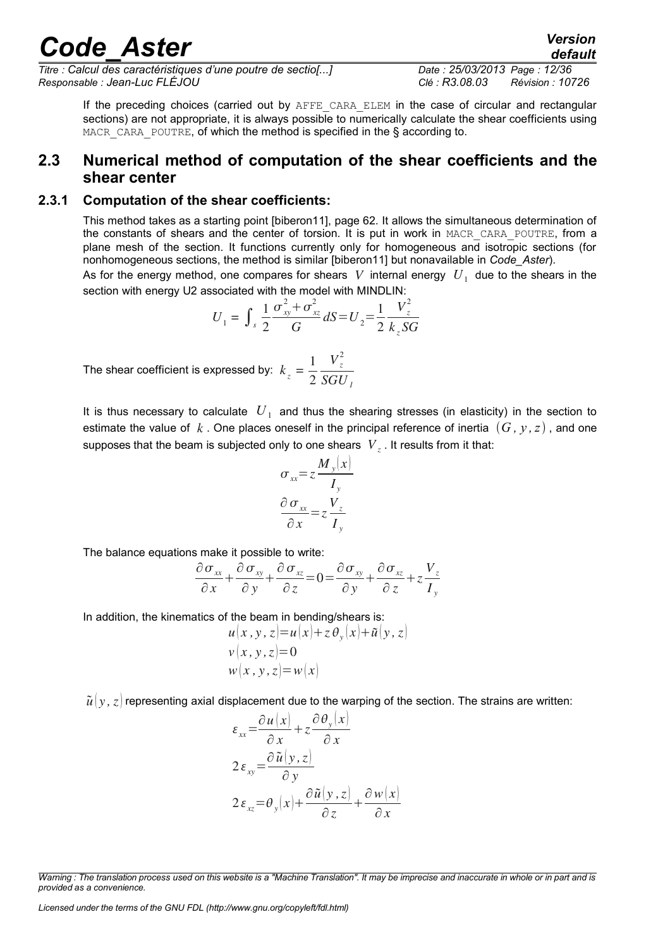*Titre : Calcul des caractéristiques d'une poutre de sectio[...] Date : 25/03/2013 Page : 12/36 Responsable : Jean-Luc FLÉJOU Clé : R3.08.03 Révision : 10726*

*default*

If the preceding choices (carried out by AFFE CARA ELEM in the case of circular and rectangular sections) are not appropriate, it is always possible to numerically calculate the shear coefficients using MACR\_CARA\_POUTRE, of which the method is specified in the § according to.

### <span id="page-11-1"></span>**2.3 Numerical method of computation of the shear coefficients and the shear center**

#### **2.3.1 Computation of the shear coefficients:**

<span id="page-11-0"></span>This method takes as a starting point [biberon[11\]](#page-22-6), page 62. It allows the simultaneous determination of the constants of shears and the center of torsion. It is put in work in MACR\_CARA\_POUTRE, from a plane mesh of the section. It functions currently only for homogeneous and isotropic sections (for nonhomogeneous sections, the method is similar [biberon[11\]](#page-22-6) but nonavailable in *Code\_Aster*).

As for the energy method, one compares for shears  $|V|$  internal energy  $|U_{1}|$  due to the shears in the section with energy U2 associated with the model with MINDLIN:

$$
U_1 = \int_s \frac{1}{2} \frac{\sigma_{xy}^2 + \sigma_{xz}^2}{G} dS = U_2 = \frac{1}{2} \frac{V_z^2}{k_z SG}
$$

The shear coefficient is expressed by:  $k_z = \frac{1}{2}$ 2  $V_z^2$ *SGU<sup>1</sup>*

It is thus necessary to calculate  $|U_{\perp}|$  and thus the shearing stresses (in elasticity) in the section to estimate the value of  $k$ . One places oneself in the principal reference of inertia  $(G, y, z)$ , and one supposes that the beam is subjected only to one shears  $\left. V_{\left. z\right. } \right.$  . It results from it that:

$$
\sigma_{xx} = z \frac{M_y(x)}{I_y}
$$

$$
\frac{\partial \sigma_{xx}}{\partial x} = z \frac{V_z}{I_y}
$$

The balance equations make it possible to write:

$$
\frac{\partial \sigma_{xx}}{\partial x} + \frac{\partial \sigma_{xy}}{\partial y} + \frac{\partial \sigma_{xz}}{\partial z} = 0 = \frac{\partial \sigma_{xy}}{\partial y} + \frac{\partial \sigma_{xz}}{\partial z} + z \frac{V_z}{I_y}
$$

In addition, the kinematics of the beam in bending/shears is:

$$
u(x, y, z)=u(x)+z \theta_y(x)+\tilde{u}(y, z)
$$
  
\n
$$
v(x, y, z)=0
$$
  
\n
$$
w(x, y, z)=w(x)
$$

 $\tilde{u}(v, z)$  representing axial displacement due to the warping of the section. The strains are written:

$$
\varepsilon_{xx} = \frac{\partial u(x)}{\partial x} + z \frac{\partial \theta_y(x)}{\partial x}
$$
  
 
$$
2\varepsilon_{xy} = \frac{\partial \tilde{u}(y, z)}{\partial y}
$$
  
 
$$
2\varepsilon_{xz} = \theta_y(x) + \frac{\partial \tilde{u}(y, z)}{\partial z} + \frac{\partial w(x)}{\partial x}
$$

*Licensed under the terms of the GNU FDL (http://www.gnu.org/copyleft/fdl.html)*

*Warning : The translation process used on this website is a "Machine Translation". It may be imprecise and inaccurate in whole or in part and is provided as a convenience.*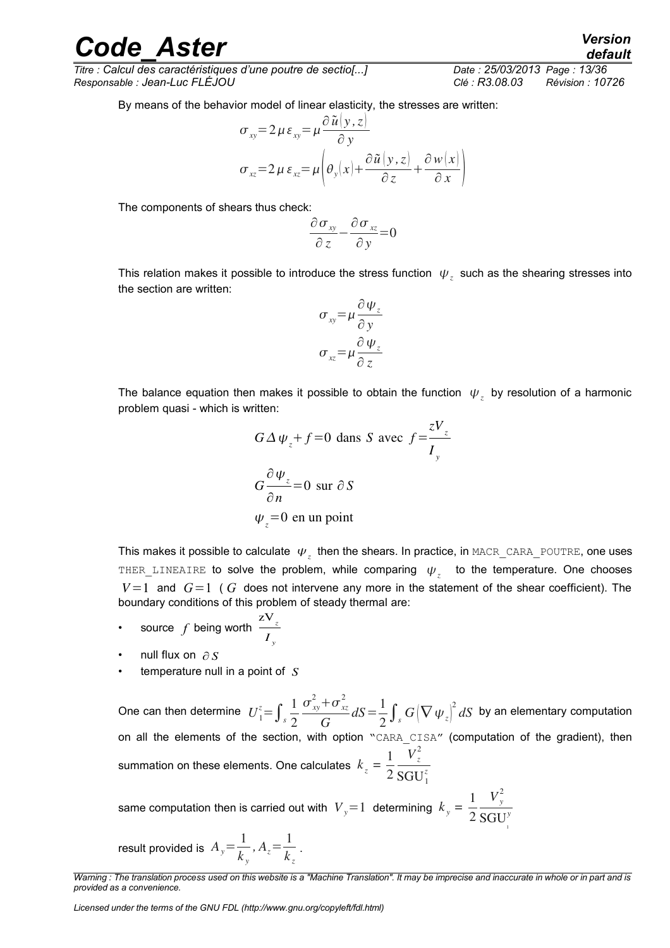*Titre : Calcul des caractéristiques d'une poutre de sectio[...] Date : 25/03/2013 Page : 13/36 Responsable : Jean-Luc FLÉJOU Clé : R3.08.03 Révision : 10726*

By means of the behavior model of linear elasticity, the stresses are written:

$$
\sigma_{xy} = 2 \mu \varepsilon_{xy} = \mu \frac{\partial \tilde{u}(y, z)}{\partial y}
$$
  

$$
\sigma_{xz} = 2 \mu \varepsilon_{xz} = \mu \left( \theta_y(x) + \frac{\partial \tilde{u}(y, z)}{\partial z} + \frac{\partial w(x)}{\partial x} \right)
$$

The components of shears thus check:

$$
\frac{\partial \sigma_{xy}}{\partial z} - \frac{\partial \sigma_{xz}}{\partial y} = 0
$$

This relation makes it possible to introduce the stress function  $\ket{\psi_z}$  such as the shearing stresses into the section are written:

$$
\sigma_{xy} = \mu \frac{\partial \psi_z}{\partial y}
$$

$$
\sigma_{xz} = \mu \frac{\partial \psi_z}{\partial z}
$$

The balance equation then makes it possible to obtain the function  $\ket{\psi_z}$  by resolution of a harmonic problem quasi - which is written:

$$
G \Delta \psi_z + f = 0 \text{ dans } S \text{ avec } f = \frac{zV_z}{I_y}
$$
  

$$
G \frac{\partial \psi_z}{\partial n} = 0 \text{ sur } \partial S
$$
  

$$
\psi_z = 0 \text{ en un point}
$$

This makes it possible to calculate  $\ket{\psi_z}$  then the shears. In practice, in <code>MACR\_CARA\_POUTRE</code>, one uses THER\_LINEAIRE to solve the problem, while comparing  $\ket{\psi_z}$  to the temperature. One chooses  $V=1$  and  $G=1$  (  $G$  does not intervene any more in the statement of the shear coefficient). The boundary conditions of this problem of steady thermal are:

- source  $f$  being worth  $\frac{zV}{z}$ *I y*
- null flux on ∂ *S*
- temperature null in a point of *S*

One can then determine  $U_1^z = \int_s \frac{1}{2}$ 2  $\sigma_{xy}^2 + \sigma_{xz}^2$ *G*  $dS = \frac{1}{2}$  $\frac{1}{2} \int_s G \big(\nabla \, \psi_z \big)^2 \, dS$  by an elementary computation on all the elements of the section, with option "CARA CISA" (computation of the gradient), then summation on these elements. One calculates  $k_z = \frac{1}{2}$ 2  $V_z^2$  $\mathbf{SGU}_{1}^{z}$ 

same computation then is carried out with  $|V_y=1|$  determining  $|k_y=\frac{1}{2}\rangle$ 2  $V_y^2$  $\mathbf{SGU}^y_1$ 

result provided is  $A_y = \frac{1}{b_x}$ *k y*  $A_z = \frac{1}{k}$  $\overline{k_z}$ .

*Warning : The translation process used on this website is a "Machine Translation". It may be imprecise and inaccurate in whole or in part and is provided as a convenience.*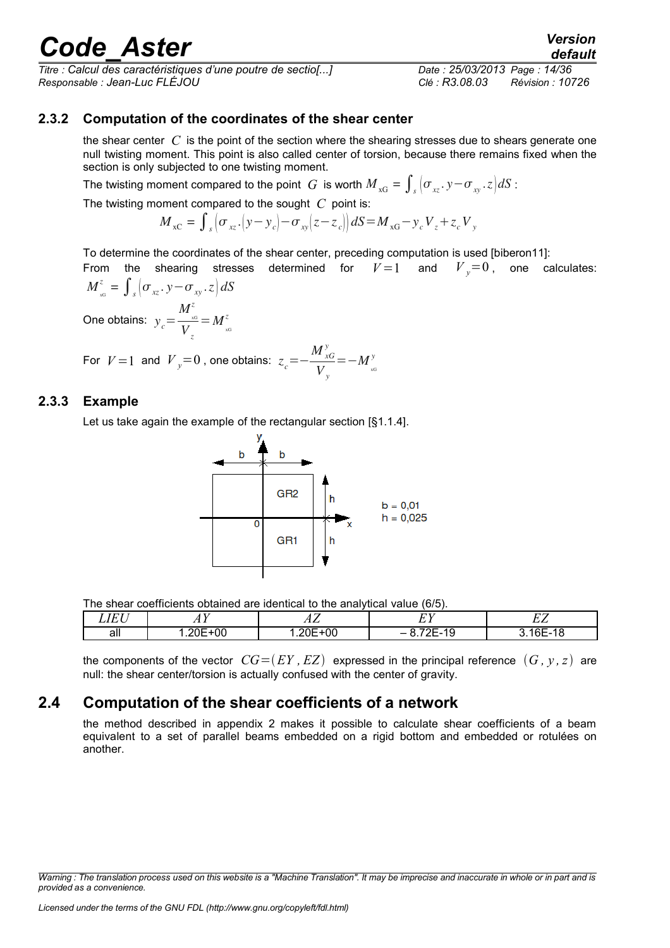*Titre : Calcul des caractéristiques d'une poutre de sectio[...] Date : 25/03/2013 Page : 14/36 Responsable : Jean-Luc FLÉJOU Clé : R3.08.03 Révision : 10726*

*default*

### **2.3.2 Computation of the coordinates of the shear center**

<span id="page-13-2"></span>the shear center *C* is the point of the section where the shearing stresses due to shears generate one null twisting moment. This point is also called center of torsion, because there remains fixed when the section is only subjected to one twisting moment.

The twisting moment compared to the point  $\ G\$  is worth  $M_{_{XG}}=\int_s\bigl\{\sigma_{_{X\zeta}},y\!-\!\sigma_{_{X\!y}}.z\bigr\}dS$  :

The twisting moment compared to the sought *C* point is:

$$
M_{\rm xc} = \int_{s} \left( \sigma_{xz} \cdot \left( y - y_c \right) - \sigma_{xy} \left( z - z_c \right) \right) dS = M_{\rm xG} - y_c V_z + z_c V_y
$$

To determine the coordinates of the shear center, preceding computation is used [biberon[11\]](#page-22-6):

From the shearing stresses determined for  $V=1$  and  $V_p=0$ , one calculates:  $M_{\scriptscriptstyle xG}^z = \int_{s}^{\infty} \left[ \sigma_{\scriptscriptstyle xz} \cdot y - \sigma_{\scriptscriptstyle xy} \cdot z \right] dS$ 

One obtains:  $y_c =$  $M^z_{\rm xG}$  $\frac{M}{V_z} = M_z^z$ 

For  $V=1$  and  $V_y=0$ , one obtains:  $z_c= M^{\frac{y}{xG}}$  $\frac{W_{xG}}{V_{y}} = -M_{xG}^{y}$ 

#### **2.3.3 Example**

<span id="page-13-1"></span>Let us take again the example of the rectangular section [§1.1.4].



The shear coefficients obtained are identical to the analytical value (6/5).

| TTTT<br>$\iota$ l $EU$ | .                                  | 71 L            | <b></b>                | — <i>—</i><br><u>,</u> |
|------------------------|------------------------------------|-----------------|------------------------|------------------------|
| alı                    | $\cap \cap \Gamma$<br>+00<br>ــا ب | .20E+00<br>.∠∪∟ | .72E-19<br>- 1<br>ັ. ເ | 16E-18                 |

the components of the vector  $CG = (EY, EZ)$  expressed in the principal reference  $(G, y, z)$  are null: the shear center/torsion is actually confused with the center of gravity.

### **2.4 Computation of the shear coefficients of a network**

<span id="page-13-0"></span>the method described in appendix 2 makes it possible to calculate shear coefficients of a beam equivalent to a set of parallel beams embedded on a rigid bottom and embedded or rotulées on another.

*Warning : The translation process used on this website is a "Machine Translation". It may be imprecise and inaccurate in whole or in part and is provided as a convenience.*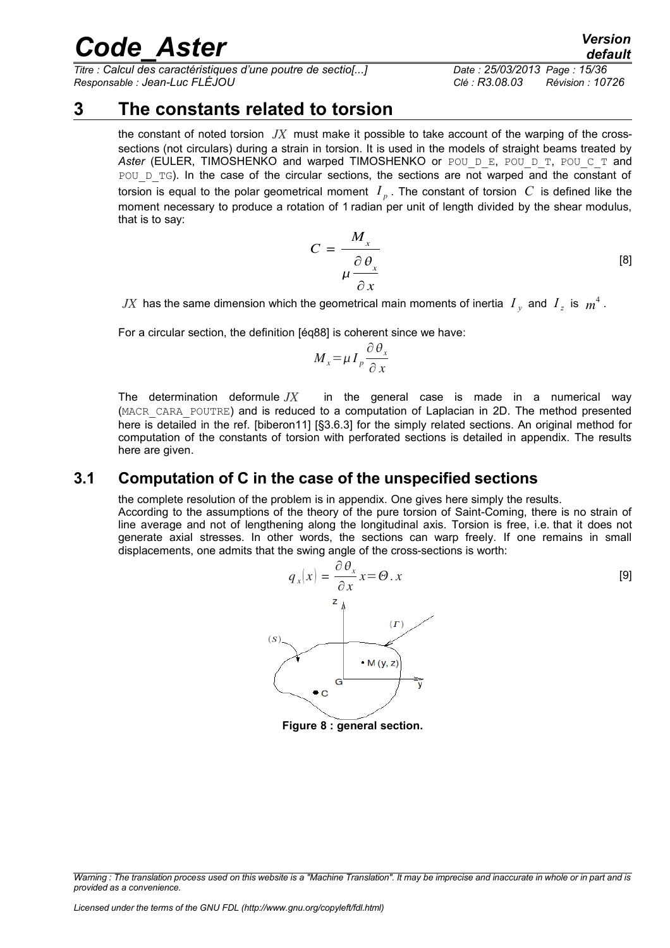*Titre : Calcul des caractéristiques d'une poutre de sectio[...] Date : 25/03/2013 Page : 15/36 Responsable : Jean-Luc FLÉJOU Clé : R3.08.03 Révision : 10726*

<span id="page-14-2"></span>

### **3 The constants related to torsion**

<span id="page-14-1"></span>the constant of noted torsion *JX* must make it possible to take account of the warping of the crosssections (not circulars) during a strain in torsion. It is used in the models of straight beams treated by Aster (EULER, TIMOSHENKO and warped TIMOSHENKO or POU D E, POU D T, POU C T and POU D TG). In the case of the circular sections, the sections are not warped and the constant of torsion is equal to the polar geometrical moment  $|I_{p}|$ . The constant of torsion  $|C|$  is defined like the moment necessary to produce a rotation of 1 radian per unit of length divided by the shear modulus, that is to say:

$$
C = \frac{M_x}{\mu \frac{\partial \theta_x}{\partial x}}
$$
 [8]

 $JX$  has the same dimension which the geometrical main moments of inertia  $\;I_{\;y}\;$  and  $\;I_{\;z}\;$  is  $\;m^4$  .

For a circular section, the definition [éq[88\]](#page-14-2) is coherent since we have:

$$
M_x = \mu I_p \frac{\partial \theta_x}{\partial x}
$$

The determination deformule *JX* in the general case is made in a numerical way (MACR\_CARA\_POUTRE) and is reduced to a computation of Laplacian in 2D. The method presented here is detailed in the ref. [biberon[11\]](#page-22-6) [§3.6.3] for the simply related sections. An original method for computation of the constants of torsion with perforated sections is detailed in appendix. The results here are given.

### **3.1 Computation of C in the case of the unspecified sections**

<span id="page-14-0"></span>the complete resolution of the problem is in appendix. One gives here simply the results. According to the assumptions of the theory of the pure torsion of Saint-Coming, there is no strain of line average and not of lengthening along the longitudinal axis. Torsion is free, i.e. that it does not generate axial stresses. In other words, the sections can warp freely. If one remains in small displacements, one admits that the swing angle of the cross-sections is worth:



*Warning : The translation process used on this website is a "Machine Translation". It may be imprecise and inaccurate in whole or in part and is provided as a convenience.*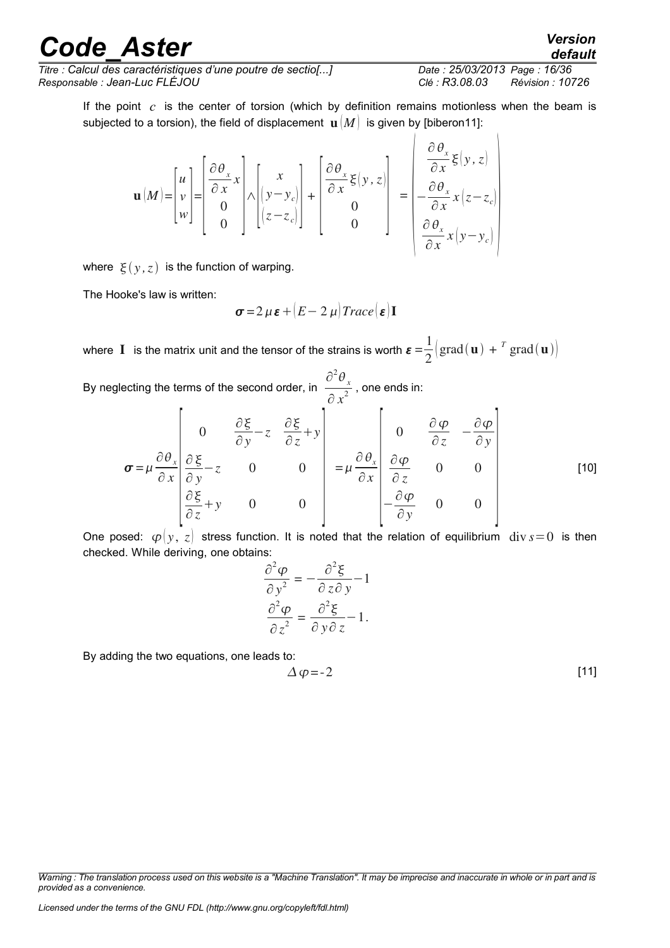*Titre : Calcul des caractéristiques d'une poutre de sectio[...] Date : 25/03/2013 Page : 16/36 Responsable : Jean-Luc FLÉJOU Clé : R3.08.03 Révision : 10726*

If the point  $c$  is the center of torsion (which by definition remains motionless when the beam is subjected to a torsion), the field of displacement  $\mathbf{u}[M]$  is given by [biberon[11\]](#page-22-6):

$$
\mathbf{u}(M) = \begin{bmatrix} u \\ v \\ w \end{bmatrix} = \begin{bmatrix} \frac{\partial \theta_x}{\partial x} x \\ 0 \\ 0 \end{bmatrix} \wedge \begin{bmatrix} x \\ (y - y_c) \\ (z - z_c) \end{bmatrix} + \begin{bmatrix} \frac{\partial \theta_x}{\partial x} \xi(y, z) \\ 0 \\ 0 \end{bmatrix} = \begin{bmatrix} \frac{\partial \theta_x}{\partial x} \xi(y, z) \\ -\frac{\partial \theta_x}{\partial x} x (z - z_c) \\ \frac{\partial \theta_x}{\partial x} x (y - y_c) \end{bmatrix}
$$

where  $\xi(y, z)$  is the function of warping.

The Hooke's law is written:

$$
\boldsymbol{\sigma} = 2 \,\mu\,\boldsymbol{\varepsilon} + (E - 2 \,\mu) \, Trace \big( \boldsymbol{\varepsilon} \big) \mathbf{I}
$$

where I is the matrix unit and the tensor of the strains is worth  $\varepsilon = \frac{1}{2}$  $\frac{1}{2}$ (grad(**u**) + <sup>*T*</sup> grad(**u**))

By neglecting the terms of the second order, in  $\frac{\partial^2 \theta_x}{\partial x^2}$  $\frac{x}{\partial x^2}$ , one ends in:

$$
\sigma = \mu \frac{\partial \theta_x}{\partial x} \begin{bmatrix} 0 & \frac{\partial \xi}{\partial y} - z & \frac{\partial \xi}{\partial z} + y \\ \frac{\partial \xi}{\partial y} - z & 0 & 0 \\ \frac{\partial \xi}{\partial z} + y & 0 & 0 \end{bmatrix} = \mu \frac{\partial \theta_x}{\partial x} \begin{bmatrix} 0 & \frac{\partial \varphi}{\partial z} & -\frac{\partial \varphi}{\partial y} \\ \frac{\partial \varphi}{\partial z} & 0 & 0 \\ -\frac{\partial \varphi}{\partial y} & 0 & 0 \end{bmatrix}
$$
 [10]

One posed:  $\varphi(y, z)$  stress function. It is noted that the relation of equilibrium div  $s=0$  is then checked. While deriving, one obtains:

$$
\frac{\partial^2 \varphi}{\partial y^2} = -\frac{\partial^2 \xi}{\partial z \partial y} - 1
$$

$$
\frac{\partial^2 \varphi}{\partial z^2} = \frac{\partial^2 \xi}{\partial y \partial z} - 1.
$$

By adding the two equations, one leads to:

$$
\Delta \varphi = -2 \tag{11}
$$

*Warning : The translation process used on this website is a "Machine Translation". It may be imprecise and inaccurate in whole or in part and is provided as a convenience.*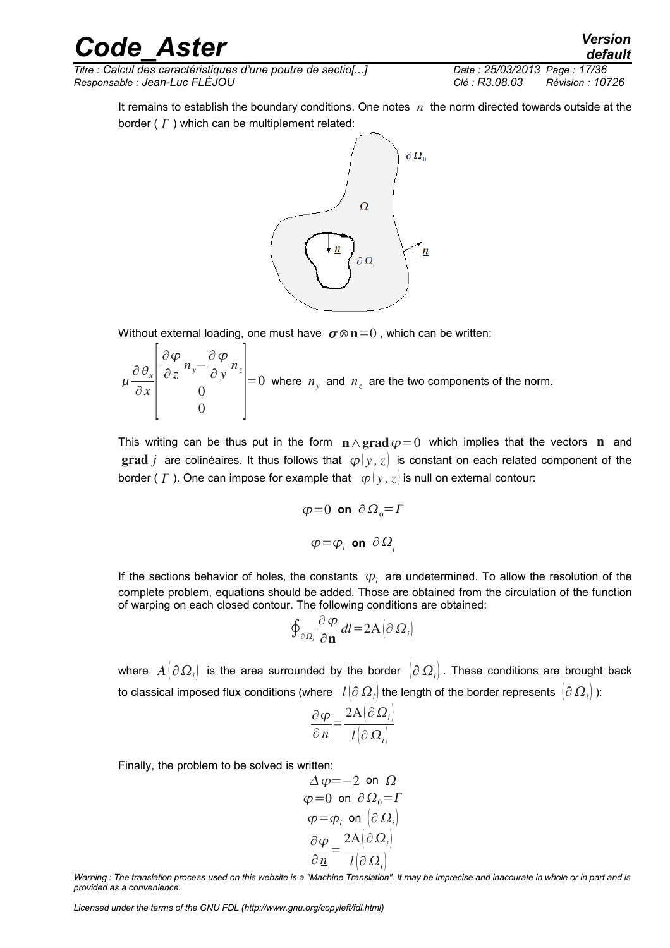*Titre : Calcul des caractéristiques d'une poutre de sectio[...] Date : 25/03/2013 Page : 17/36 Responsable : Jean-Luc FLÉJOU Clé : R3.08.03 Révision : 10726*

It remains to establish the boundary conditions. One notes *n* the norm directed towards outside at the border ( $\Gamma$ ) which can be multiplement related:



Without external loading, one must have  $\sigma \otimes n = 0$ , which can be written:

$$
\mu \frac{\partial \theta_x}{\partial x} \begin{vmatrix} \frac{\partial \phi}{\partial z} n_y - \frac{\partial \phi}{\partial y} n_z \\ 0 \\ 0 \end{vmatrix} = 0
$$
 where  $n_y$  and  $n_z$  are the two components of the norm.

This writing can be thus put in the form  $n \wedge grad \varphi=0$  which implies that the vectors n and grad *j* are colinéaires. It thus follows that  $\varphi(y, z)$  is constant on each related component of the border (  $\Gamma$  ). One can impose for example that  $\varphi(y, z)$  is null on external contour:

$$
\varphi = 0 \text{ on } \partial \Omega_0 = \Gamma
$$
  

$$
\varphi = \varphi_i \text{ on } \partial \Omega_i
$$

If the sections behavior of holes, the constants  $\varphi_i$  are undetermined. To allow the resolution of the complete problem, equations should be added. Those are obtained from the circulation of the function of warping on each closed contour. The following conditions are obtained:

$$
\oint_{\partial\Omega_i} \frac{\partial \varphi}{\partial \mathbf{n}} dl = 2A \big( \partial \Omega_i \big)
$$

where  $A\left(\frac{\partial \Omega}{\partial n}\right)$  is the area surrounded by the border  $\left(\frac{\partial \Omega}{\partial n}\right)$ . These conditions are brought back to classical imposed flux conditions (where  $l|\partial\Omega_i|$  the length of the border represents  $|\partial\Omega_i|$ ):

$$
\frac{\partial \varphi}{\partial \underline{n}} = \frac{2A(\partial \Omega_i)}{l(\partial \Omega_i)}
$$

Finally, the problem to be solved is written:

$$
\Delta \varphi = -2 \text{ on } \Omega
$$
  
\n
$$
\varphi = 0 \text{ on } \partial \Omega_0 = \Gamma
$$
  
\n
$$
\varphi = \varphi_i \text{ on } \left( \partial \Omega_i \right)
$$
  
\n
$$
\frac{\partial \varphi}{\partial \underline{n}} = \frac{2A \left( \partial \Omega_i \right)}{l \left( \partial \Omega_i \right)}
$$

*Warning : The translation process used on this website is a "Machine Translation". It may be imprecise and inaccurate in whole or in part and is provided as a convenience.*

*Licensed under the terms of the GNU FDL (http://www.gnu.org/copyleft/fdl.html)*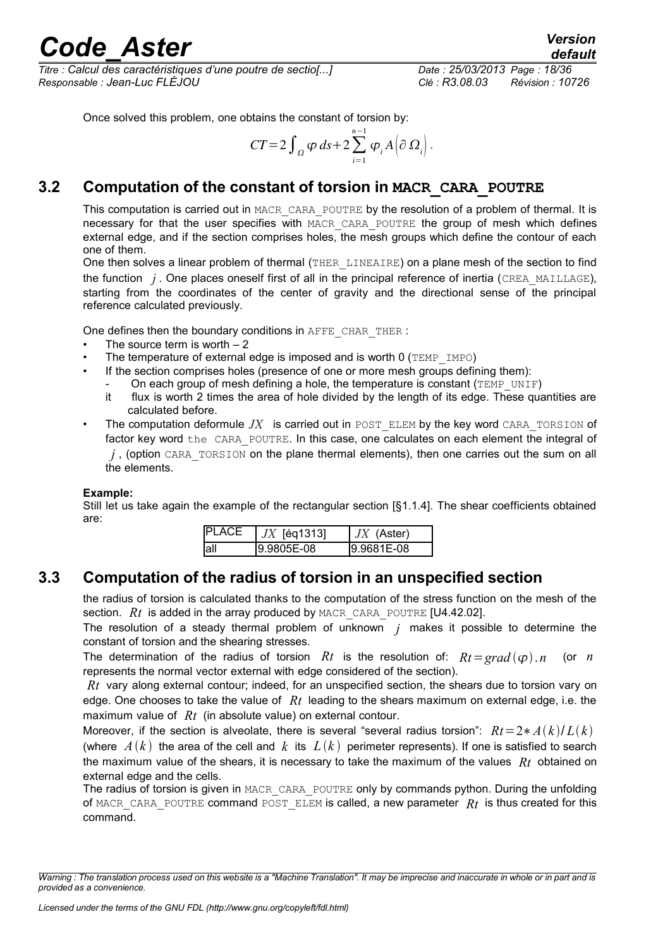*Titre : Calcul des caractéristiques d'une poutre de sectio[...] Date : 25/03/2013 Page : 18/36 Responsable : Jean-Luc FLÉJOU Clé : R3.08.03 Révision : 10726*



Once solved this problem, one obtains the constant of torsion by:

$$
CT = 2 \int_{\Omega} \varphi \, ds + 2 \sum_{i=1}^{n-1} \varphi_i A \bigg( \partial \Omega_i \bigg).
$$

### **3.2 Computation of the constant of torsion in MACR\_CARA\_POUTRE**

<span id="page-17-1"></span>This computation is carried out in MACR\_CARA\_POUTRE by the resolution of a problem of thermal. It is necessary for that the user specifies with MACR\_CARA\_POUTRE the group of mesh which defines external edge, and if the section comprises holes, the mesh groups which define the contour of each one of them.

One then solves a linear problem of thermal (THER LINEAIRE) on a plane mesh of the section to find the function  $j$ . One places oneself first of all in the principal reference of inertia (CREA\_MAILLAGE), starting from the coordinates of the center of gravity and the directional sense of the principal reference calculated previously.

One defines then the boundary conditions in AFFE\_CHAR\_THER :

- The source term is worth  $-2$
- The temperature of external edge is imposed and is worth  $0$  (TEMP\_IMPO)
- If the section comprises holes (presence of one or more mesh groups defining them):
	- On each group of mesh defining a hole, the temperature is constant (TEMP\_UNIF)
	- it flux is worth 2 times the area of hole divided by the length of its edge. These quantities are calculated before.
- The computation deformule  $JX$  is carried out in POST ELEM by the key word CARA TORSION of factor key word the CARA\_POUTRE. In this case, one calculates on each element the integral of  $j$ , (option CARA\_TORSION on the plane thermal elements), then one carries out the sum on all the elements.

#### **Example:**

Still let us take again the example of the rectangular section [§1.1.4]. The shear coefficients obtained are:

| <b>PLACE</b> | $JX$ [éq1313] | $JX$ (Aster) |
|--------------|---------------|--------------|
| all          | 19.9805E-08   | 19.9681E-08  |

### **3.3 Computation of the radius of torsion in an unspecified section**

<span id="page-17-0"></span>the radius of torsion is calculated thanks to the computation of the stress function on the mesh of the section. *Rt* is added in the array produced by MACR\_CARA\_POUTRE [U4.42.02].

The resolution of a steady thermal problem of unknown *j* makes it possible to determine the constant of torsion and the shearing stresses.

The determination of the radius of torsion  $Rt$  is the resolution of:  $Rt = grad(\varphi)$ . *n* (or *n* represents the normal vector external with edge considered of the section).

*Rt* vary along external contour; indeed, for an unspecified section, the shears due to torsion vary on edge. One chooses to take the value of *Rt* leading to the shears maximum on external edge, i.e. the maximum value of *Rt* (in absolute value) on external contour.

Moreover, if the section is alveolate, there is several "several radius torsion":  $Rt = 2 * A(k)/L(k)$ (where  $A(k)$  the area of the cell and k its  $L(k)$  perimeter represents). If one is satisfied to search the maximum value of the shears, it is necessary to take the maximum of the values *Rt* obtained on external edge and the cells.

The radius of torsion is given in MACR\_CARA\_POUTRE only by commands python. During the unfolding of MACR\_CARA\_POUTRE command POST\_ELEM is called, a new parameter  $Rt$  is thus created for this command.

*Warning : The translation process used on this website is a "Machine Translation". It may be imprecise and inaccurate in whole or in part and is provided as a convenience.*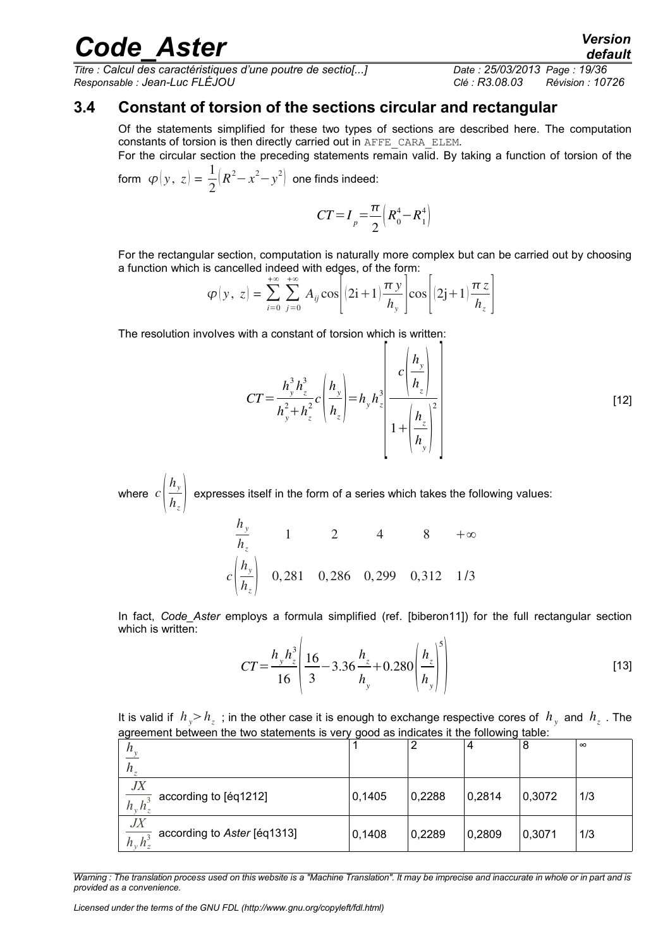*Titre : Calcul des caractéristiques d'une poutre de sectio[...] Date : 25/03/2013 Page : 19/36 Responsable : Jean-Luc FLÉJOU Clé : R3.08.03 Révision : 10726*

### **3.4 Constant of torsion of the sections circular and rectangular**

<span id="page-18-0"></span>Of the statements simplified for these two types of sections are described here. The computation constants of torsion is then directly carried out in AFFE\_CARA\_ELEM.

For the circular section the preceding statements remain valid. By taking a function of torsion of the

form 
$$
\varphi(y, z) = \frac{1}{2} (R^2 - x^2 - y^2)
$$
 one finds indeed:

$$
CT = I_p = \frac{\pi}{2} \left( R_0^4 - R_1^4 \right)
$$

For the rectangular section, computation is naturally more complex but can be carried out by choosing a function which is cancelled indeed with edges, of the form:

$$
\varphi(y, z) = \sum_{i=0}^{+\infty} \sum_{j=0}^{+\infty} A_{ij} \cos \left[ (2i+1) \frac{\pi y}{h_y} \right] \cos \left[ (2j+1) \frac{\pi z}{h_z} \right]
$$

The resolution involves with a constant of torsion which is written:

$$
CT = \frac{h_y^3 h_z^3}{h_y^2 + h_z^2} c \left( \frac{h_y}{h_z} \right) = h_y h_z^3 \left( \frac{c \left( \frac{h_y}{h_z} \right)}{1 + \left( \frac{h_z}{h_y} \right)^2} \right)
$$
\n
$$
(12)
$$

<span id="page-18-2"></span> $\begin{bmatrix} 1 & 1 \end{bmatrix}$ 

where  $c\left|\frac{n}{h}\right|$ *hy*  $\left| \frac{p}{h_z} \right|$  expresses itself in the form of a series which takes the following values:

$$
\frac{h_y}{h_z} = 1 \qquad 2 \qquad 4 \qquad 8 \qquad +\infty
$$
\n
$$
c\left(\frac{h_y}{h_z}\right) = 0,281 \quad 0,286 \quad 0,299 \qquad 0,312 \qquad 1/3
$$

In fact, *Code\_Aster* employs a formula simplified (ref. [biberon[11\]](#page-22-6)) for the full rectangular section which is written:

<span id="page-18-1"></span>
$$
CT = \frac{h_y h_z^3}{16} \left( \frac{16}{3} - 3.36 \frac{h_z}{h_y} + 0.280 \left( \frac{h_z}{h_y} \right)^5 \right)
$$
 [13]

It is valid if  $h_y$ > $h_z$  ; in the other case it is enough to exchange respective cores of  $\,h_y\,$  and  $\,h_z\,$  . The agreement between the two statements is very good as indicates it the following table:

| $n_{\nu}$                                         |        | ົ      |        | 8      | $\infty$ |
|---------------------------------------------------|--------|--------|--------|--------|----------|
| $h_{\scriptscriptstyle\mathcal{I}}$               |        |        |        |        |          |
| according to [éq1212]<br>$h^3$<br>h               | 0,1405 | 0,2288 | 0,2814 | 0,3072 | 1/3      |
| $J\!X$<br>according to Aster [éq1313]<br>$h, h^3$ | 0,1408 | 0,2289 | 0,2809 | 0,3071 | 1/3      |

*Warning : The translation process used on this website is a "Machine Translation". It may be imprecise and inaccurate in whole or in part and is provided as a convenience.*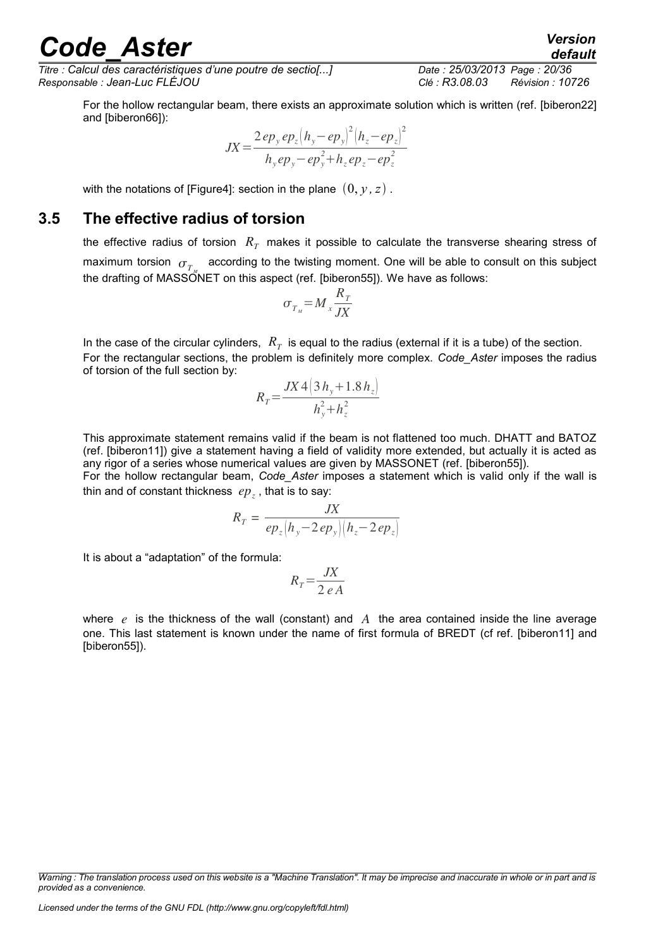*Titre : Calcul des caractéristiques d'une poutre de sectio[...] Date : 25/03/2013 Page : 20/36 Responsable : Jean-Luc FLÉJOU Clé : R3.08.03 Révision : 10726*

For the hollow rectangular beam, there exists an approximate solution which is written (ref. [biberon[22\]](#page-22-4) and [biberon[66\]](#page-22-7)):

$$
JX = \frac{2ep_y ep_z (h_y - ep_y)^2 (h_z - ep_z)^2}{h_y ep_y - ep_y^2 + h_z ep_z - ep_z^2}
$$

<span id="page-19-0"></span>with the notations of [Figur[e4\]](#page-6-1): section in the plane  $(0, y, z)$ .

### **3.5 The effective radius of torsion**

the effective radius of torsion  $\ R_{\scriptscriptstyle T}$  makes it possible to calculate the transverse shearing stress of maximum torsion  $\sigma_{T_M}$  according to the twisting moment. One will be able to consult on this subject the drafting of MASSONET on this aspect (ref. [biberon[55\]](#page-22-2)). We have as follows:

$$
\sigma_{T_M} = M_x \frac{R_T}{JX}
$$

In the case of the circular cylinders,  $\ R_{T}$  is equal to the radius (external if it is a tube) of the section. For the rectangular sections, the problem is definitely more complex. *Code\_Aster* imposes the radius of torsion of the full section by:

$$
R_T = \frac{JX \, 4 \, \left| \, 3 \, h_y + 1.8 \, h_z \right|}{h_y^2 + h_z^2}
$$

This approximate statement remains valid if the beam is not flattened too much. DHATT and BATOZ (ref. [biberon[11\]](#page-22-6)) give a statement having a field of validity more extended, but actually it is acted as any rigor of a series whose numerical values are given by MASSONET (ref. [biberon[55\]](#page-22-2)).

For the hollow rectangular beam, *Code\_Aster* imposes a statement which is valid only if the wall is thin and of constant thickness  $\,ep_z^{}$  , that is to say:

$$
R_T = \frac{JX}{ep_z \left(h_y - 2\,ep_y\right) \left(h_z - 2\,ep_z\right)}
$$

It is about a "adaptation" of the formula:

$$
R_T = \frac{JX}{2\,e\,A}
$$

where *e* is the thickness of the wall (constant) and *A* the area contained inside the line average one. This last statement is known under the name of first formula of BREDT (cf ref. [biberon[11\]](#page-22-6) and [biberon[55\]](#page-22-2)).

*Warning : The translation process used on this website is a "Machine Translation". It may be imprecise and inaccurate in whole or in part and is provided as a convenience.*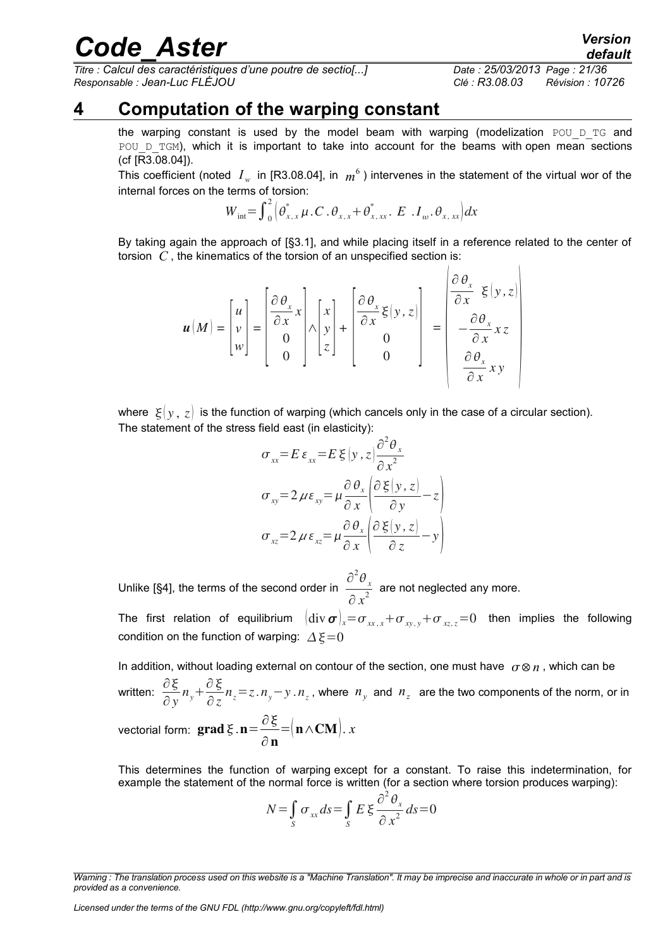*Titre : Calcul des caractéristiques d'une poutre de sectio[...] Date : 25/03/2013 Page : 21/36 Responsable : Jean-Luc FLÉJOU Clé : R3.08.03 Révision : 10726*

### **4 Computation of the warping constant**

<span id="page-20-0"></span>the warping constant is used by the model beam with warping (modelization POU D TG and POU D TGM), which it is important to take into account for the beams with open mean sections (cf [R3.08.04]).

This coefficient (noted  $|I_{w}|$  in [R3.08.04], in  $|m^{6}|$  ) intervenes in the statement of the virtual wor of the internal forces on the terms of torsion:

$$
W_{\text{int}} = \int_0^2 \left( \theta_{x,x}^* \mu \cdot C \cdot \theta_{x,x} + \theta_{x,xx}^* \cdot E \cdot I_{\omega} \cdot \theta_{x,xx} \right) dx
$$

By taking again the approach of [§3.1], and while placing itself in a reference related to the center of torsion *C* , the kinematics of the torsion of an unspecified section is:

$$
\boldsymbol{u}(\boldsymbol{M}) = \begin{bmatrix} u \\ v \\ w \end{bmatrix} = \begin{bmatrix} \frac{\partial \theta_x}{\partial x} x \\ 0 \\ 0 \end{bmatrix} \wedge \begin{bmatrix} x \\ y \\ z \end{bmatrix} + \begin{bmatrix} \frac{\partial \theta_x}{\partial x} \xi(y, z) \\ 0 \\ 0 \end{bmatrix} = \begin{bmatrix} \frac{\partial \theta_x}{\partial x} \xi(y, z) \\ -\frac{\partial \theta_x}{\partial x} xz \\ \frac{\partial \theta_x}{\partial x} xy \end{bmatrix}
$$

where  $\mathcal{E}(y, z)$  is the function of warping (which cancels only in the case of a circular section). The statement of the stress field east (in elasticity):

$$
\sigma_{xx} = E \, \varepsilon_{xx} = E \, \xi \left( y \, , z \right) \frac{\partial^2 \theta_x}{\partial x^2}
$$
\n
$$
\sigma_{xy} = 2 \, \mu \varepsilon_{xy} = \mu \frac{\partial \theta_x}{\partial x} \left( \frac{\partial \xi \left( y \, , \, z \right)}{\partial y} - z \right)
$$
\n
$$
\sigma_{xz} = 2 \, \mu \varepsilon_{xz} = \mu \frac{\partial \theta_x}{\partial x} \left( \frac{\partial \xi \left( y \, , \, z \right)}{\partial z} - y \right)
$$

Unlike [§4], the terms of the second order in  $\frac{\partial^2 \theta_x}{\partial x^2}$  $\frac{1}{\partial x^2}$  are not neglected any more.

The first relation of equilibrium  $\int \frac{div \sigma}{x} = \sigma_{xx,x} + \sigma_{xy,y} + \sigma_{xz,z} = 0$  then implies the following condition on the function of warping:  $\Delta \xi = 0$ 

In addition, without loading external on contour of the section, one must have  $\sigma \otimes n$ , which can be written:  $\frac{\partial \xi}{\partial x}$  $\frac{\partial \xi}{\partial y} n_y + \frac{\partial \xi}{\partial z}$  $\frac{\partial}{\partial z} n_z = z \cdot n_y - y \cdot n_z$ , where  $n_y$  and  $n_z$  are the two components of the norm, or in vectorial form:  $\,\mathbf{grad}\, \boldsymbol{\xi}$  .  $\mathbf{n}\!=\!\frac{\partial\, \boldsymbol{\xi}}{\partial\boldsymbol{\xi}}$  $\partial$  n  $=$   $| \mathbf{n} \wedge \mathbf{CM} |$ . *x* 

This determines the function of warping except for a constant. To raise this indetermination, for example the statement of the normal force is written (for a section where torsion produces warping):

$$
N = \int_{S} \sigma_{xx} ds = \int_{S} E \, \xi \, \frac{\partial^2 \theta_x}{\partial x^2} ds = 0
$$

*Licensed under the terms of the GNU FDL (http://www.gnu.org/copyleft/fdl.html)*

*Warning : The translation process used on this website is a "Machine Translation". It may be imprecise and inaccurate in whole or in part and is provided as a convenience.*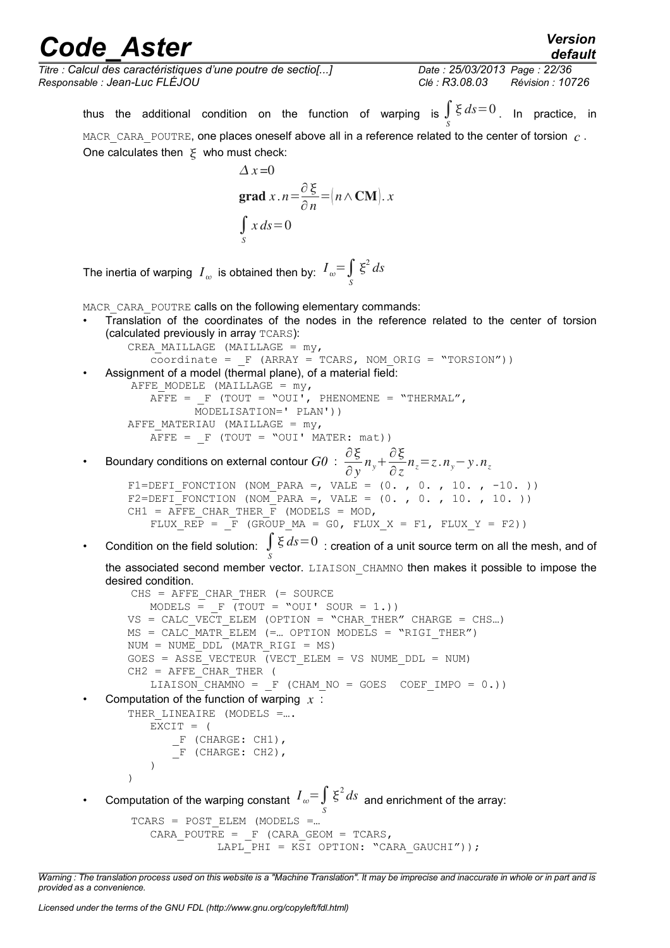*default*

*Titre : Calcul des caractéristiques d'une poutre de sectio[...] Date : 25/03/2013 Page : 22/36 Responsable : Jean-Luc FLÉJOU Clé : R3.08.03 Révision : 10726*

thus the additional condition on the function of warping *S* is  $\int \xi ds = 0$ . In practice, in

MACR\_CARA\_POUTRE, one places oneself above all in a reference related to the center of torsion  $c$ . One calculates then  $\epsilon$  who must check:

$$
\Delta x=0
$$
  
grad x. n= $\frac{\partial \xi}{\partial n}$  = [n $\wedge$  CM]. x  
 $\int_{S} x ds=0$ 

The inertia of warping  $\,I_{\,\omega}\,$  is obtained then by:  $\,I_{\,\omega} = \int\limits_S$  $\xi^2 ds$ 

MACR\_CARA\_POUTRE calls on the following elementary commands:

• Translation of the coordinates of the nodes in the reference related to the center of torsion (calculated previously in array TCARS):

```
CREA MAILLAGE (MAILLAGE = my,
   coordinate = F (ARRAY = TCARS, NOM ORIG = "TORSION"))
```
- Assignment of a model (thermal plane), of a material field: AFFE MODELE (MAILLAGE =  $my$ ,  $A$ FFE =  $F$  (TOUT = "OUI', PHENOMENE = "THERMAL", MODELISATION=' PLAN')) AFFE MATERIAU (MAILLAGE =  $my$ ,  $\overline{A}$ FFE =  $\overline{F}$  (TOUT = "OUI' MATER: mat))
- Boundary conditions on external contour *G0* :  $\frac{\partial \xi}{\partial x}$  $\frac{\partial \xi}{\partial y} n_y + \frac{\partial \xi}{\partial z}$  $\frac{\partial S}{\partial z} n_z = z \cdot n_y - y \cdot n_z$

```
F1=DEFI FONCTION (NOM PARA =, VALE = (0. , 0. , 10. , -10. ))
F2 = DEFI FONCTION (NOM PARA =, VALE = (0. , 0. , 10. , 10. ))
CH1 = \overline{AFFE} CHAR THER \overline{F} (MODELS = MOD,
   FLUX REP = \overline{F} (GROUP MA = G0, FLUX X = F1, FLUX Y = F2))
```
• Condition on the field solution: ∫ *ds*=0 : creation of a unit source term on all the mesh, and of *S*

the associated second member vector. LIAISON CHAMNO then makes it possible to impose the desired condition.

```
CHS = AFFE CHAR THER (= SOURCE
      MODELS = F (TOUT = "OUI' SOUR = 1.))
   VS = CALC_VECT_ELEM (OPTION = "CHAR_THER" CHARGE = CHS…)
   MS = CALC MATR ELEM (=... OPTION MODELS = "RIGI THER")
   NUM = NUME DDL (MATR RIGI = MS)
   GOES = ASSE VECTEUR (VECT ELEM = VS NUME DDL = NUM)
   CH2 = AFFE CHAR THER (
      LIAISON CHAMNO = F (CHAM NO = GOES COEF IMPO = 0.))
Computation of the function of warping x:
```

```
THER LINEAIRE (MODELS =...
   EXCIT = (
```

```
F (CHARGE: CH1),
                F (CHARGE: CH2),
            )
        )
• Computation of the warping constant I_\omega = \int \xi^2 ds and enrichment of the array:
                                            S
        TCARS = POST ELEMENT (MODELS = ...CARA POUTRE = \overline{F} (CARA GEOM = TCARS,
                        LAPL PHI = KSI OPTION: "CARA GAUCHI"));
```
*Warning : The translation process used on this website is a "Machine Translation". It may be imprecise and inaccurate in whole or in part and is provided as a convenience.*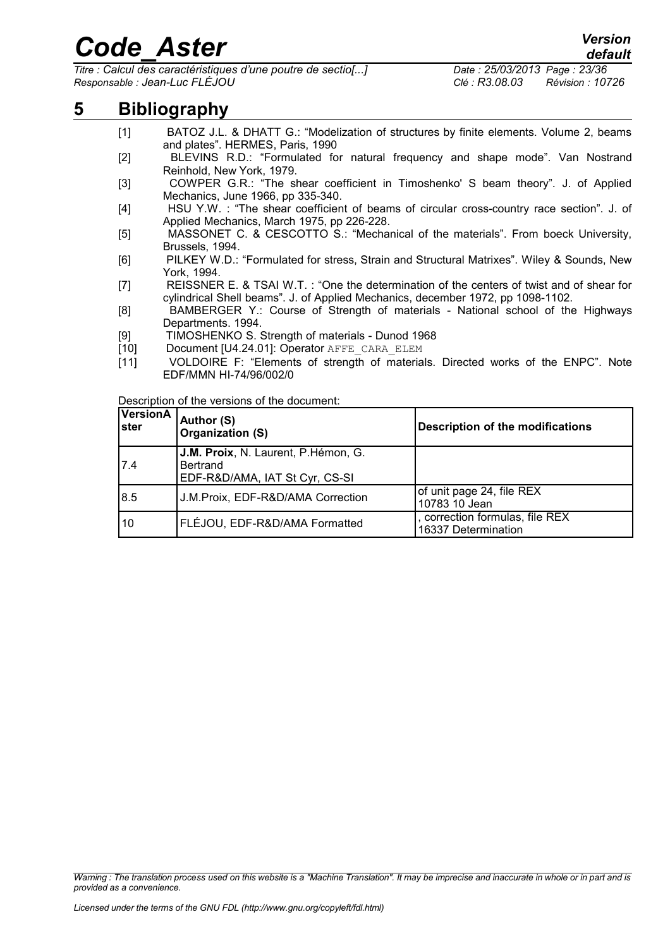*Titre : Calcul des caractéristiques d'une poutre de sectio[...] Date : 25/03/2013 Page : 23/36 Responsable : Jean-Luc FLÉJOU Clé : R3.08.03 Révision : 10726*

### **5 Bibliography**

- <span id="page-22-6"></span><span id="page-22-0"></span>[1] BATOZ J.L. & DHATT G.: "Modelization of structures by finite elements. Volume 2, beams and plates". HERMES, Paris, 1990
- <span id="page-22-4"></span>[2] BLEVINS R.D.: "Formulated for natural frequency and shape mode". Van Nostrand Reinhold, New York, 1979.
- <span id="page-22-5"></span>[3] COWPER G.R.: "The shear coefficient in Timoshenko' S beam theory". J. of Applied Mechanics, June 1966, pp 335-340.
- [4] HSU Y.W. : "The shear coefficient of beams of circular cross-country race section". J. of Applied Mechanics, March 1975, pp 226-228.
- <span id="page-22-2"></span>[5] MASSONET C. & CESCOTTO S.: "Mechanical of the materials". From boeck University, Brussels, 1994.
- <span id="page-22-7"></span>[6] PILKEY W.D.: "Formulated for stress, Strain and Structural Matrixes". Wiley & Sounds, New York, 1994.
- [7] REISSNER E. & TSAI W.T. : "One the determination of the centers of twist and of shear for cylindrical Shell beams". J. of Applied Mechanics, december 1972, pp 1098-1102.
- <span id="page-22-1"></span>[8] BAMBERGER Y.: Course of Strength of materials - National school of the Highways Departments. 1994.
- <span id="page-22-3"></span>[9] TIMOSHENKO S. Strength of materials - Dunod 1968
- [10] Document [U4.24.01]: Operator AFFE\_CARA\_ELEM
- <span id="page-22-8"></span>[11] VOLDOIRE F: "Elements of strength of materials. Directed works of the ENPC". Note EDF/MMN HI-74/96/002/0

Description of the versions of the document:

| VersionA<br>ster | Author (S)<br>Organization (S)                                                           | <b>Description of the modifications</b>                |
|------------------|------------------------------------------------------------------------------------------|--------------------------------------------------------|
| 7.4              | J.M. Proix, N. Laurent, P.Hémon, G.<br><b>Bertrand</b><br>EDF-R&D/AMA, IAT St Cyr, CS-SI |                                                        |
| 8.5              | J.M.Proix, EDF-R&D/AMA Correction                                                        | of unit page 24, file REX<br>10783 10 Jean             |
| 10               | FLÉJOU, EDF-R&D/AMA Formatted                                                            | , correction formulas, file REX<br>16337 Determination |

*Warning : The translation process used on this website is a "Machine Translation". It may be imprecise and inaccurate in whole or in part and is provided as a convenience.*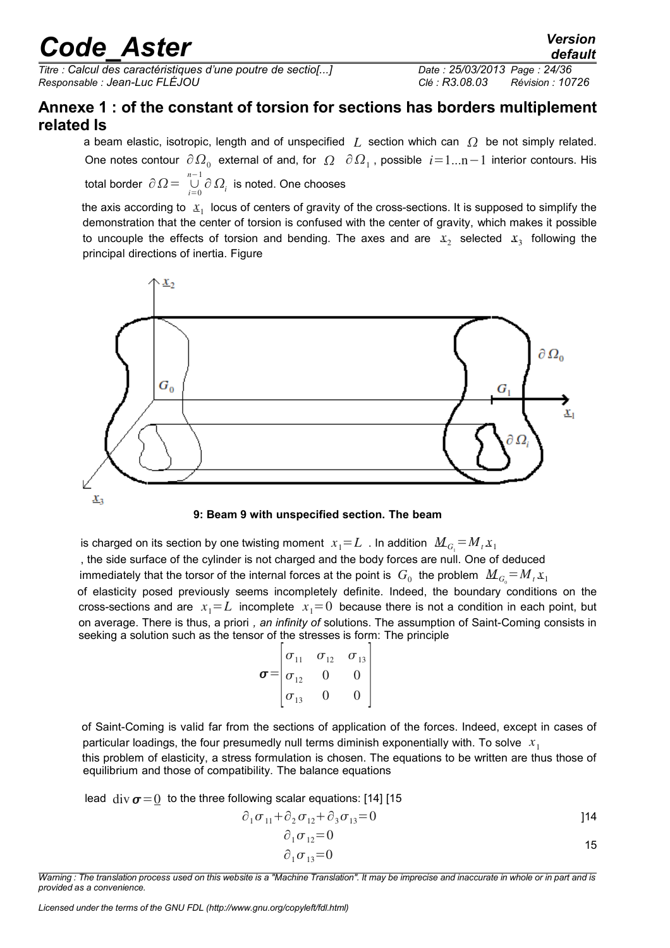*Titre : Calcul des caractéristiques d'une poutre de sectio[...] Date : 25/03/2013 Page : 24/36 Responsable : Jean-Luc FLÉJOU Clé : R3.08.03 Révision : 10726*

### **Annexe 1 : of the constant of torsion for sections has borders multiplement related Is**

<span id="page-23-0"></span>a beam elastic, isotropic, length and of unspecified  $L$  section which can  $\Omega$  be not simply related. One notes contour  $\partial\varOmega_0$  external of and, for  $\varOmega_-\partial\varOmega_1$ , possible  $\,$ *i* =1...n−1 interior contours. His total border  $\partial Ω = \bigcup_{i=0}$  $\bigcup\limits_{i=0}^{n-1} \partial\,\varOmega_i^{\,i}$  is noted. One chooses

the axis according to  $|x_1|$  locus of centers of gravity of the cross-sections. It is supposed to simplify the demonstration that the center of torsion is confused with the center of gravity, which makes it possible to uncouple the effects of torsion and bending. The axes and are  $x_2$  selected  $x_3$  following the principal directions of inertia. Figure



**9: Beam 9 with unspecified section. The beam**

is charged on its section by one twisting moment  $\; x_1{=}L\;$  . In addition  $\; {\cal M}_{G_1}{=}M_{\,t}x_1$ 

, the side surface of the cylinder is not charged and the body forces are null. One of deduced immediately that the torsor of the internal forces at the point is  $\, G_0 \,$  the problem  $\, M_{\, G_0} \! = \! M_{\, t} \chi_{_1} \,$ of elasticity posed previously seems incompletely definite. Indeed, the boundary conditions on the cross-sections and are  $x_1 = L$  incomplete  $x_1 = 0$  because there is not a condition in each point, but

on average. There is thus, a priori *, an infinity of* solutions. The assumption of Saint-Coming consists in seeking a solution such as the tensor of the stresses is form: The principle

$$
\boldsymbol{\sigma} = \begin{vmatrix} \sigma_{11} & \sigma_{12} & \sigma_{13} \\ \sigma_{12} & 0 & 0 \\ \sigma_{13} & 0 & 0 \end{vmatrix}
$$

of Saint-Coming is valid far from the sections of application of the forces. Indeed, except in cases of particular loadings, the four presumedly null terms diminish exponentially with. To solve  $x_1$ 

this problem of elasticity, a stress formulation is chosen. The equations to be written are thus those of equilibrium and those of compatibility. The balance equations

lead  $\mathrm{div}\,\sigma=0$  to the three following scalar equations: [14] [15

$$
\partial_1 \sigma_{11} + \partial_2 \sigma_{12} + \partial_3 \sigma_{13} = 0 \tag{14}
$$

$$
\partial_1 \sigma_{12} = 0 \tag{15}
$$

<span id="page-23-2"></span><span id="page-23-1"></span>
$$
\partial_1 \sigma_{13} = 0
$$

*Warning : The translation process used on this website is a "Machine Translation". It may be imprecise and inaccurate in whole or in part and is provided as a convenience.*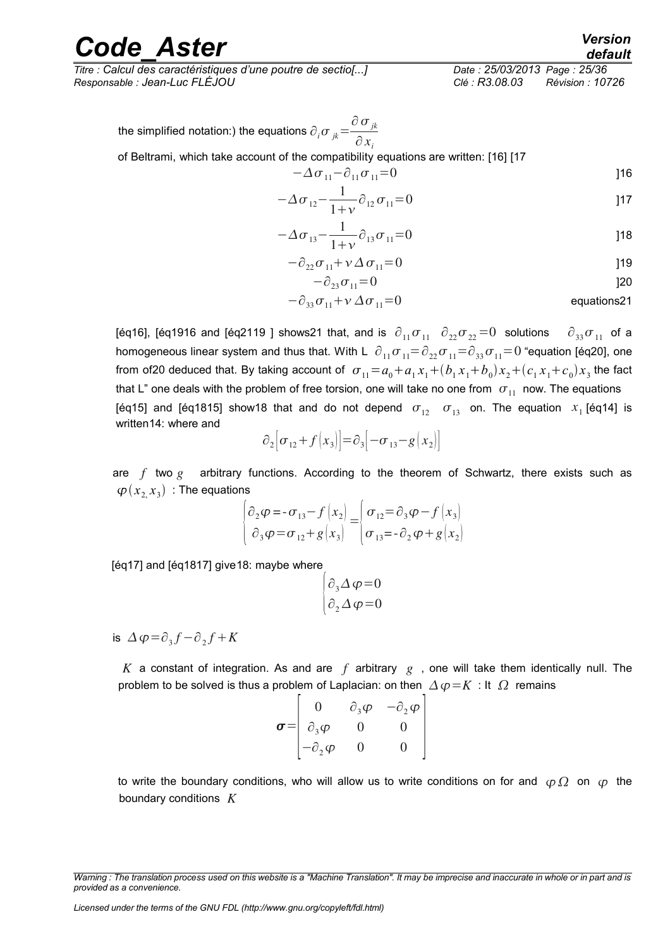*Titre : Calcul des caractéristiques d'une poutre de sectio[...] Date : 25/03/2013 Page : 25/36 Responsable : Jean-Luc FLÉJOU Clé : R3.08.03 Révision : 10726*

<span id="page-24-5"></span><span id="page-24-4"></span><span id="page-24-3"></span><span id="page-24-2"></span><span id="page-24-1"></span><span id="page-24-0"></span>

the simplified notation:) the equations  $\partial_i \sigma_{jk}^{\phantom{\dag}}=$ ∂*jk* ∂ *x<sup>i</sup>*

of Beltrami, which take account of the compatibility equations are written: [16] [17

$$
-\Delta \sigma_{11} - \partial_{11} \sigma_{11} = 0 \tag{16}
$$

$$
-\Delta \sigma_{12} - \frac{1}{1+\nu} \partial_{12} \sigma_{11} = 0
$$

$$
-\Delta \sigma_{13} - \frac{1}{1+\nu} \partial_{13} \sigma_{11} = 0
$$

$$
-\partial_{22}\sigma_{11} + v\Delta\sigma_{11} = 0
$$

$$
-\partial_{23}\sigma_{11} = 0
$$

$$
-\partial_{33}\sigma_{11} + v\Delta\sigma_{11} = 0
$$
 equations21

[éq16], [éq1[916](#page-24-5) and [éq2[119](#page-24-4) ] show[s21](#page-24-3) that, and is  $\partial_{11}\sigma_{11}$   $\partial_{22}\sigma_{22}=0$  solutions  $\partial_{33}\sigma_{11}$  of a homogeneous linear system and thus that. With L  $\partial_{11}\sigma_{11}=\partial_{22}\sigma_{11}=\partial_{33}\sigma_{11}=0$  "equation [éq20], one from o[f20](#page-24-2) deduced that. By taking account of  $\sigma_{11}=a_0+a_1x_1+(b_1x_1+b_0)x_2+(c_1x_1+c_0)x_3$  the fact that L" one deals with the problem of free torsion, one will take no one from  $\sigma_{11}$  now. The equations [éq15] and [éq1[815\]](#page-23-2) sho[w18](#page-24-0) that and do not depend  $\sigma_{12}$   $\sigma_{13}$  on. The equation  $x_1$  [éq14] is writte[n14:](#page-23-1) where and

$$
\partial_2 \big[ \sigma_{12} + f\big[x_3\big] \big] = \partial_3 \big[ -\sigma_{13} - g\big[x_2\big] \big]
$$

are *f* two *g* arbitrary functions. According to the theorem of Schwartz, there exists such as  $\varphi(x_{_{2\!x_{_{3}})$  : The equations

$$
\begin{cases} \partial_2 \varphi = -\sigma_{13} - f(x_2) \\ \partial_3 \varphi = \sigma_{12} + g(x_3) \end{cases} = \begin{cases} \sigma_{12} = \partial_3 \varphi - f(x_3) \\ \sigma_{13} = -\partial_2 \varphi + g(x_2) \end{cases}
$$

[éq17] and [éq1[817\]](#page-24-1) giv[e18:](#page-24-0) maybe where

$$
\begin{cases} \partial_3 \Delta \varphi = 0 \\ \partial_2 \Delta \varphi = 0 \end{cases}
$$

is  $\Delta \varphi = \partial_3 f - \partial_2 f + K$ 

*K* a constant of integration. As and are *f* arbitrary *g* , one will take them identically null. The problem to be solved is thus a problem of Laplacian: on then  $\Delta \varphi = K : \mathfrak{t} \Omega$  remains

$$
\boldsymbol{\sigma} = \begin{bmatrix} 0 & \partial_3 \varphi & -\partial_2 \varphi \\ \partial_3 \varphi & 0 & 0 \\ -\partial_2 \varphi & 0 & 0 \end{bmatrix}
$$

to write the boundary conditions, who will allow us to write conditions on for and  $\varphi \Omega$  on  $\varphi$  the boundary conditions *K*

*Warning : The translation process used on this website is a "Machine Translation". It may be imprecise and inaccurate in whole or in part and is provided as a convenience.*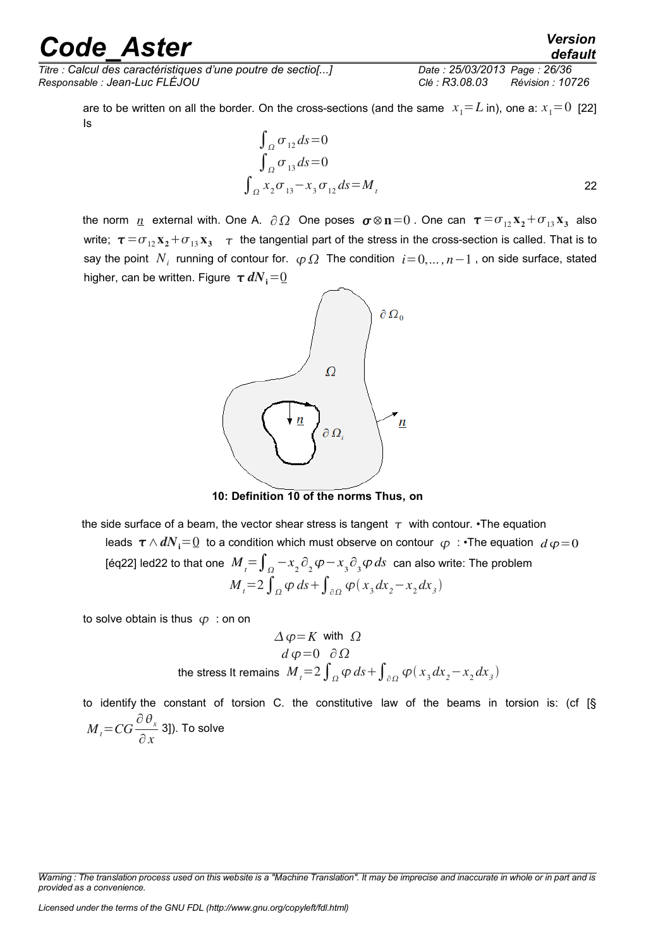*Titre : Calcul des caractéristiques d'une poutre de sectio[...] Date : 25/03/2013 Page : 26/36 Responsable : Jean-Luc FLÉJOU Clé : R3.08.03 Révision : 10726*

<span id="page-25-0"></span>

are to be written on all the border. On the cross-sections (and the same  $x_1 = L$  in), one a:  $x_1 = 0$  [22] Is

$$
\int_{\Omega} \sigma_{12} ds = 0
$$
\n
$$
\int_{\Omega} \sigma_{13} ds = 0
$$
\n
$$
\int_{\Omega} x_2 \sigma_{13} - x_3 \sigma_{12} ds = M,
$$
\n22

the norm *n* external with. One A.  $\partial \Omega$  One poses  $\sigma \otimes n = 0$ . One can  $\tau = \sigma_{12} x_2 + \sigma_{13} x_3$  also write;  $\tau = \sigma_{12} x_2 + \sigma_{13} x_3$   $\tau$  the tangential part of the stress in the cross-section is called. That is to say the point  $N_i$  running of contour for.  $\varphi \varOmega$  The condition  $\,i\!=\!0,\!...$  ,  $n\!-\!1$  , on side surface, stated higher, can be written. Figure  $\tau$   $dN_i=0$ 



**10: Definition 10 of the norms Thus, on**

the side surface of a beam, the vector shear stress is tangent  $\tau$  with contour. •The equation leads  $\tau \wedge dN_i = 0$  to a condition which must observe on contour  $\varphi$ : •The equation  $d\varphi=0$ [éq22] le[d22](#page-25-0) to that one  $\ M_{_I} \!=\! \int_\varOmega -x_{_2}\partial_{_2}\varphi\!-\!x_{_3}\partial_{_3}\varphi\,ds\,$  can also write: The problem  $M_{t} = 2 \int_{\Omega} \varphi \, ds + \int_{\partial \Omega} \varphi(x_{3} dx_{2} - x_{2} dx_{3})$ 

to solve obtain is thus  $\varphi$ : on on

$$
\Delta \varphi = K \text{ with } \Omega
$$
  

$$
d \varphi = 0 \quad \partial \Omega
$$
  
the stress It remains  $M_{t} = 2 \int_{\Omega} \varphi \, ds + \int_{\partial \Omega} \varphi(x_{3} dx_{2} - x_{2} dx_{3})$ 

to identify the constant of torsion C. the constitutive law of the beams in torsion is: (cf [§  $M<sub>t</sub>$  =  $CG$ ∂ *<sup>x</sup>* ∂ *x* 3]). To solve

*Licensed under the terms of the GNU FDL (http://www.gnu.org/copyleft/fdl.html)*

*Warning : The translation process used on this website is a "Machine Translation". It may be imprecise and inaccurate in whole or in part and is provided as a convenience.*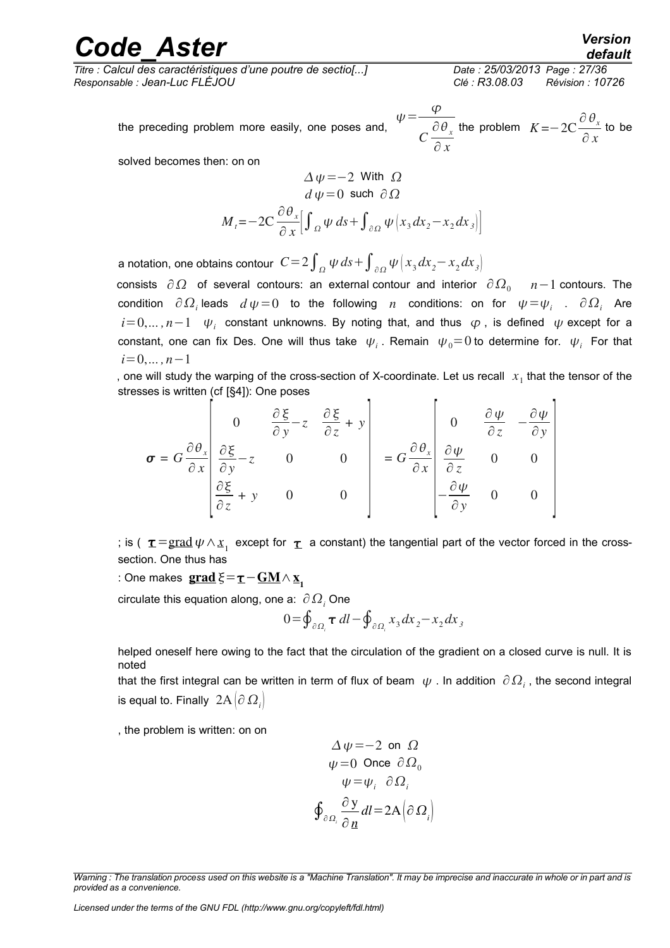*Titre : Calcul des caractéristiques d'une poutre de sectio[...] Date : 25/03/2013 Page : 27/36 Responsable : Jean-Luc FLÉJOU Clé : R3.08.03 Révision : 10726*

the problem  $K = -2C \frac{\partial \theta_x}{\partial x^2}$ 

the preceding problem more easily, one poses and,  $\psi = \frac{\varphi}{\sqrt{2}}$ 

solved becomes then: on on

$$
\Delta \psi = -2 \text{ With } \Omega
$$
  

$$
d \psi = 0 \text{ such } \partial \Omega
$$
  

$$
M_{t} = -2C \frac{\partial \theta_{x}}{\partial x} \Big[ \int_{\Omega} \psi \, ds + \int_{\partial \Omega} \psi \Big[ x_{3} dx_{2} - x_{2} dx_{3} \Big] \Big]
$$

 $C \frac{\partial \theta_x}{\partial x}$ ∂ *x*

a notation, one obtains contour  $C$   $=$   $2 \int_{\varOmega} \psi \, ds + \int_{\partial \varOmega} \psi \left[x_{_3} dx_{_2}\! - x_{_2} dx_{_3}\right]$ 

 $\cos$  of several contours: an external contour and interior  $\partial\varOmega_{0}$  = n-1 contours. The  $\alpha$  condition  $\partial\,\Omega_i$  leads  $d\,\psi$  =  $0$  to the following  $n$  conditions: on for  $\psi$  =  $\psi_i$  .  $\partial\,\Omega_i$  Are  $i$ =0,..., *n*−1  $\psi_i$  constant unknowns. By noting that, and thus  $\varphi$ , is defined  $\psi$  except for a constant, one can fix Des. One will thus take  $\ket{\psi_i}$ . Remain  $\ket{\psi_0=0}$  to determine for.  $\ket{\psi_i}$  For that *i*=0,... *, n*−1

, one will study the warping of the cross-section of X-coordinate. Let us recall  $\|x_1\|$  that the tensor of the stresses is written (cf [§4]): One poses

$$
\sigma = G \frac{\partial \theta_x}{\partial x} \begin{vmatrix} 0 & \frac{\partial \xi}{\partial y} - z & \frac{\partial \xi}{\partial z} + y \\ \frac{\partial \xi}{\partial y} - z & 0 & 0 \\ \frac{\partial \xi}{\partial z} + y & 0 & 0 \end{vmatrix} = G \frac{\partial \theta_x}{\partial x} \begin{vmatrix} 0 & \frac{\partial \psi}{\partial z} & -\frac{\partial \psi}{\partial y} \\ \frac{\partial \psi}{\partial z} & 0 & 0 \\ -\frac{\partial \psi}{\partial y} & 0 & 0 \end{vmatrix}
$$

; is (  $\tau = \text{grad } \psi \wedge x_{_1}$  except for  $\tau$  a constant) the tangential part of the vector forced in the crosssection. One thus has

: One makes  $\,\mathbf{grad}\, \xi \!=\! \mathbf{\tau} \!-\! \mathbf{GM} \! \wedge \mathbf{x}_{_{\mathrm{I}}}$ 

circulate this equation along, one a: ∂Ω, One

$$
0 = \oint_{\partial \Omega_i} \boldsymbol{\tau} \, dl - \oint_{\partial \Omega_i} x_3 dx_2 - x_2 dx_3
$$

helped oneself here owing to the fact that the circulation of the gradient on a closed curve is null. It is noted

that the first integral can be written in term of flux of beam  $\,\psi$  . In addition  $\,\partial\varOmega^{\vphantom{\dagger}}_i$  , the second integral is equal to. Finally  $2A|\partial\Omega_i|$ 

, the problem is written: on on

$$
\Delta \psi = -2 \text{ on } \Omega
$$
  
\n
$$
\psi = 0 \text{ Once } \partial \Omega_0
$$
  
\n
$$
\psi = \psi_i \partial \Omega_i
$$
  
\n
$$
\oint_{\partial \Omega_i} \frac{\partial y}{\partial n} dl = 2A \Big( \partial \Omega_i \Big)
$$

*Licensed under the terms of the GNU FDL (http://www.gnu.org/copyleft/fdl.html)*

to be

∂ *x*

*Warning : The translation process used on this website is a "Machine Translation". It may be imprecise and inaccurate in whole or in part and is provided as a convenience.*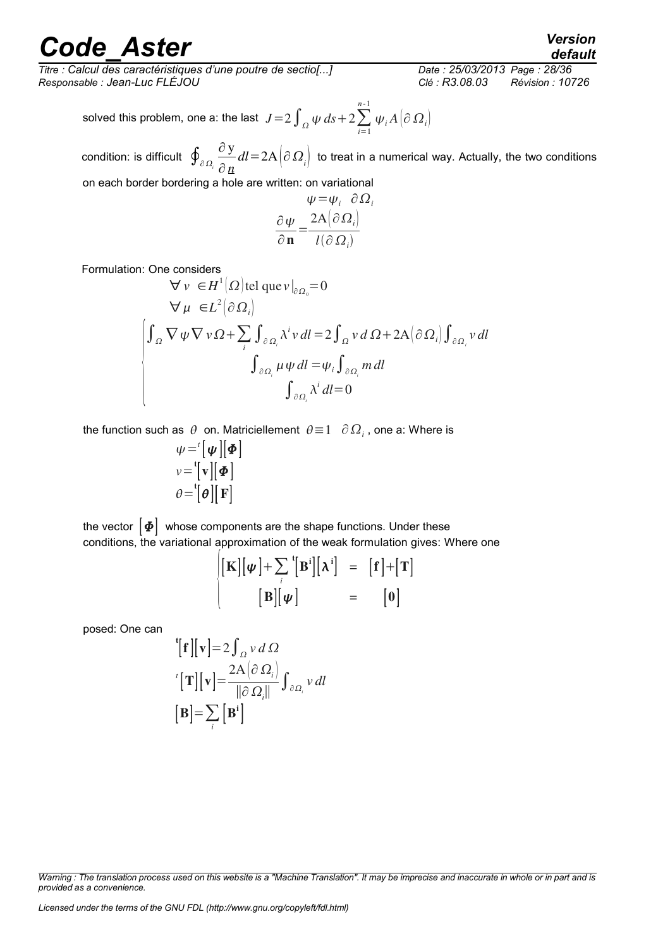*Titre : Calcul des caractéristiques d'une poutre de sectio[...] Date : 25/03/2013 Page : 28/36 Responsable : Jean-Luc FLÉJOU Clé : R3.08.03 Révision : 10726*

*default*

solved this problem, one a: the last  $\left.J\!=\!2\int_{\varOmega}\psi\,ds\!+\!2\sum_{i=1}$ *n*-1  $\psi_i A \big|\partial \Omega_i\big|$ 

condition: is difficult  $\oint_{\partial\Omega_i}\frac{\partial\, {\bf y}}{\partial\, n}$ ∂ *n*  $dl \!=\! 2{\rm A}\!\left|\,\partial\varOmega_{_{l}}\right\rangle\,$  to treat in a numerical way. Actually, the two conditions

on each border bordering a hole are written: on variational

$$
\psi = \psi_i \quad \partial \Omega_i
$$

$$
\frac{\partial \psi}{\partial \mathbf{n}} = \frac{2\mathbf{A} \left(\partial \Omega_i\right)}{l\left(\partial \Omega_i\right)}
$$

Formulation: One considers

$$
\forall v \in H^{1}(\Omega) \text{ tel que } v|_{\partial \Omega_{0}} = 0
$$
  

$$
\forall \mu \in L^{2}(\partial \Omega_{i})
$$
  

$$
\int_{\Omega} \nabla \Psi \nabla v \Omega + \sum_{i} \int_{\partial \Omega_{i}} \lambda^{i} v \, dl = 2 \int_{\Omega} v \, d \Omega + 2A \big(\partial \Omega_{i}\big) \int_{\partial \Omega_{i}} v \, dl
$$
  

$$
\int_{\partial \Omega_{i}} \mu \Psi \, dl = \Psi_{i} \int_{\partial \Omega_{i}} m \, dl
$$
  

$$
\int_{\partial \Omega_{i}} \lambda^{i} \, dl = 0
$$

the function such as  $\vert \theta \vert$  on. Matriciellement  $\vert \theta \equiv 1 \vert / \partial \Omega_i$  , one a: Where is

$$
\psi = \begin{bmatrix} \psi \\ \phi \end{bmatrix} \begin{bmatrix} \Phi \\ \Phi \end{bmatrix}
$$

$$
\psi = \begin{bmatrix} \mathbf{v} \\ \mathbf{v} \end{bmatrix} \begin{bmatrix} \Phi \\ \Phi \end{bmatrix}
$$

$$
\theta = \begin{bmatrix} \theta \\ \mathbf{r} \end{bmatrix} \begin{bmatrix} \mathbf{F} \end{bmatrix}
$$

the vector  $\left[ \boldsymbol{\Phi} \right]$  whose components are the shape functions. Under these conditions, the variational approximation of the weak formulation gives: Where one

$$
\begin{vmatrix}\n\begin{bmatrix}\n\mathbf{K}\n\end{bmatrix}\n\begin{bmatrix}\n\boldsymbol{\psi}\n\end{bmatrix} + \sum_{i} \begin{bmatrix}\n\mathbf{B}^{i}\n\end{bmatrix}\n\begin{bmatrix}\n\boldsymbol{\lambda}^{i}\n\end{bmatrix} = \begin{bmatrix}\n\mathbf{f}\n\end{bmatrix} + \begin{bmatrix}\n\mathbf{T}\n\end{bmatrix} \\
\begin{bmatrix}\n\mathbf{B}\n\end{bmatrix}\n\begin{bmatrix}\n\boldsymbol{\psi}\n\end{bmatrix} = \begin{bmatrix}\n\mathbf{0}\n\end{bmatrix}
$$

posed: One can

$$
\begin{aligned} \n\begin{bmatrix} \n\mathbf{f} \n\end{bmatrix} \n\begin{bmatrix} \mathbf{v} \n\end{bmatrix} &= 2 \int_{\Omega} v \, d\Omega \\ \n\begin{bmatrix} \n\mathbf{T} \n\end{bmatrix} \n\begin{bmatrix} \mathbf{v} \n\end{bmatrix} &= \frac{2\mathbf{A} \left( \frac{\partial \Omega}{\partial u} \right)}{\left\| \frac{\partial \Omega}{\partial u} \right\|} \int_{\partial \Omega_i} v \, dl \\ \n\begin{bmatrix} \n\mathbf{B} \n\end{bmatrix} &= \sum_i \left[ \mathbf{B}^i \right] \n\end{aligned}
$$

*Warning : The translation process used on this website is a "Machine Translation". It may be imprecise and inaccurate in whole or in part and is provided as a convenience.*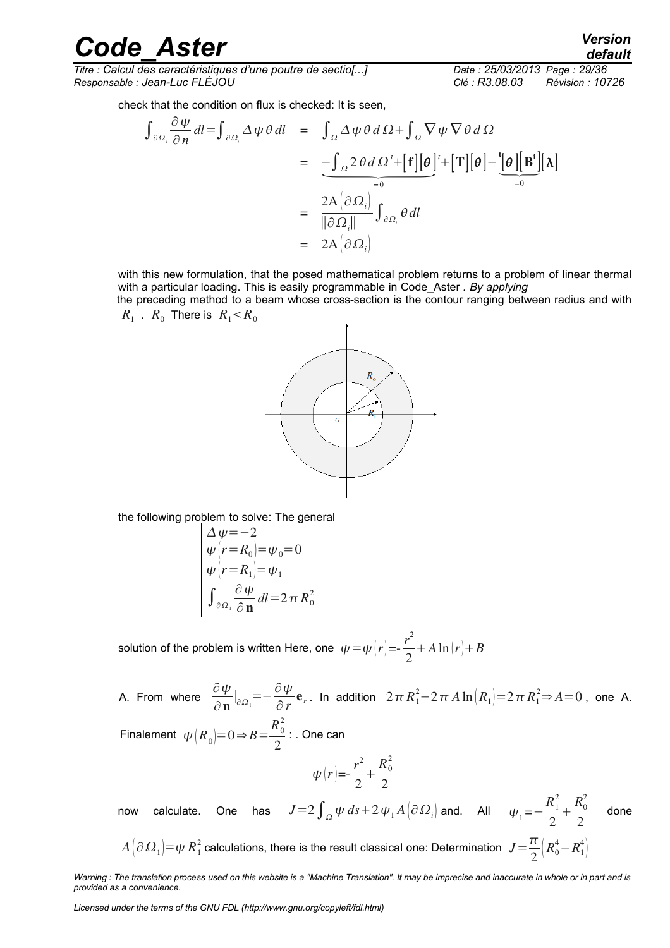the following problem to solve: The general

$$
\begin{cases}\n\Delta \psi = -2 \\
\psi \left( r = R_0 \right) = \psi_0 = 0 \\
\psi \left( r = R_1 \right) = \psi_1 \\
\int_{\partial \Omega_1} \frac{\partial \psi}{\partial \mathbf{n}} d\mathbf{l} = 2 \pi R_0^2\n\end{cases}
$$

solution of the problem is written Here, one  $\psi = \psi(r) = -\frac{r^2}{2}$ 2  $+A \ln(r) + B$ 

A. From where  $\frac{\partial \psi}{\partial x}$  $\partial$  n  $\int_{\partial\Omega_1} = -\frac{\partial \psi}{\partial r}$  $\frac{\partial \varphi}{\partial r}$ **e**<sub>*r*</sub>. In addition  $2π R_1^2 - 2π A ln(R_1) = 2π R_1^2 ⇒ A = 0$ , one A. Finalement  $\psi(R_0)=0 \Rightarrow B=0$  $R_0^2$ 2 : . One can 2

$$
\psi(r) = -\frac{r^2}{2} + \frac{R_0^2}{2}
$$

now calculate. One has  $J=2\int_{\Omega}\psi\,ds+2\,\psi_1A\Big(\partial\,\Omega_i\Big)$  and. All  $\psi_1=-\frac{R_1^2}{2}$ 2  $+\frac{R_0^2}{2}$ 2 done

 $A\!\left(\partial\varOmega_1\right)\!=\!\psi\,R_1^2$  calculations, there is the result classical one: Determination  $\;J\!=\!\frac{\pi}{2}$  $\frac{n}{2}$  $\left(R_0^4 - R_1^4\right)$ 

k that the condition on flux is checked: It is seen,  
\n
$$
\int_{\partial\Omega_i} \frac{\partial \psi}{\partial n} dl = \int_{\partial\Omega_i} \Delta \psi \theta dl = \int_{\Omega} \Delta \psi \theta d\Omega + \int_{\Omega} \nabla \psi \nabla \theta d\Omega
$$
\n
$$
= -\int_{\Omega} 2 \theta d\Omega' + [\mathbf{f}][\theta] + [\mathbf{T}][\theta] - [\theta][\mathbf{B}^i][\lambda]
$$
\n
$$
= \frac{2A(\partial \Omega_i)}{|\partial \Omega_i||} \int_{\partial \Omega_i} \theta dl
$$
\n
$$
= 2A(\partial \Omega_i)
$$

with this new formulation, that the posed mathematical problem returns to a problem of linear thermal with a particular loading. This is easily programmable in Code\_Aster *. By applying*

the preceding method to a beam whose cross-section is the contour ranging between radius and with  $R_1$  .  $R_0$  There is  $R_1 < R_0$ 

*Titre : Calcul des caractéristiques d'une poutre de sectio[...] Date : 25/03/2013 Page : 29/36*



*Responsable : Jean-Luc FLÉJOU Clé : R3.08.03 Révision : 10726*

∂

*Warning : The translation process used on this website is a "Machine Translation". It may be imprecise and inaccurate in whole or in part and is provided as a convenience.*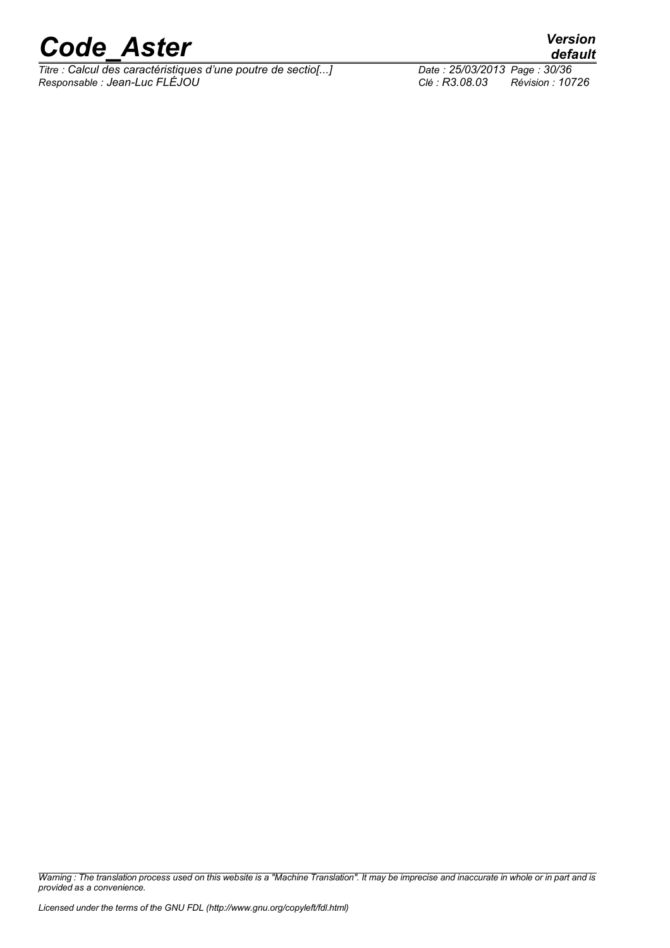*Titre : Calcul des caractéristiques d'une poutre de sectio[...] Date : 25/03/2013 Page : 30/36 Responsable : Jean-Luc FLÉJOU Clé : R3.08.03 Révision : 10726*

*Warning : The translation process used on this website is a "Machine Translation". It may be imprecise and inaccurate in whole or in part and is provided as a convenience.*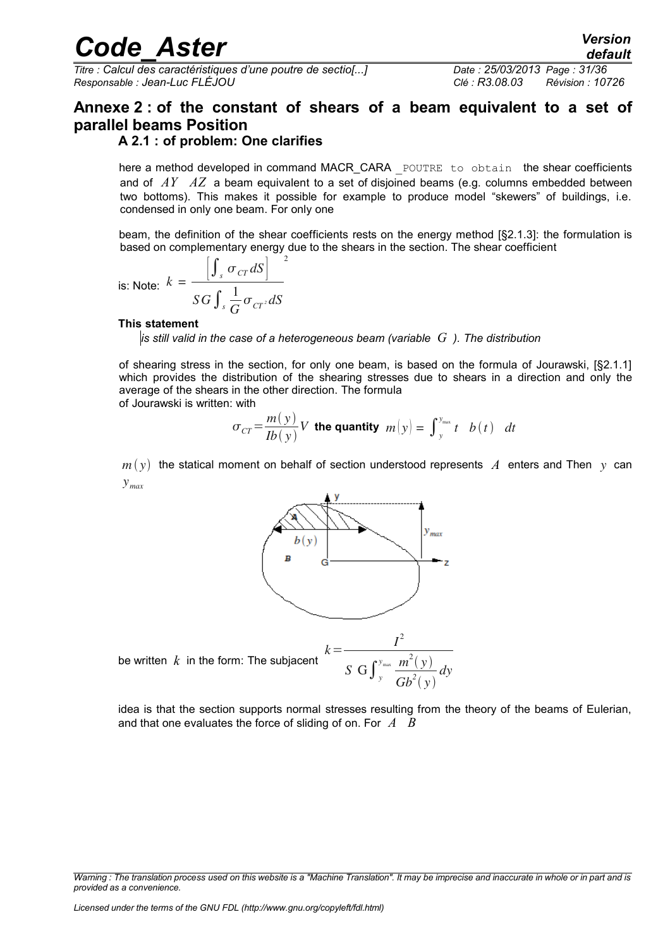*Titre : Calcul des caractéristiques d'une poutre de sectio[...] Date : 25/03/2013 Page : 31/36 Responsable : Jean-Luc FLÉJOU Clé : R3.08.03 Révision : 10726*

### **Annexe 2 : of the constant of shears of a beam equivalent to a set of parallel beams Position**

#### <span id="page-30-1"></span><span id="page-30-0"></span>**A 2.1 : of problem: One clarifies**

here a method developed in command MACR\_CARA POUTRE to obtain the shear coefficients and of *AY AZ* a beam equivalent to a set of disjoined beams (e.g. columns embedded between two bottoms). This makes it possible for example to produce model "skewers" of buildings, i.e. condensed in only one beam. For only one

beam, the definition of the shear coefficients rests on the energy method [§2.1.3]: the formulation is based on complementary energy due to the shears in the section. The shear coefficient

is: Note: 
$$
k = \frac{\left[\int_s \sigma_{cr} dS\right]^{-2}}{SG \int_s \frac{1}{G} \sigma_{cr^2} dS}
$$

#### **This statement**

*is still valid in the case of a heterogeneous beam (variable G ). The distribution*

of shearing stress in the section, for only one beam, is based on the formula of Jourawski, [§2.1.1] which provides the distribution of the shearing stresses due to shears in a direction and only the average of the shears in the other direction. The formula

of Jourawski is written: with

$$
\sigma_{CT} = \frac{m(y)}{I b(y)} V \text{ the quantity } m(y) = \int_{y}^{y_{\text{max}}} t \ b(t) \ dt
$$

 $m(v)$  the statical moment on behalf of section understood represents A enters and Then *y* can *ymax*



idea is that the section supports normal stresses resulting from the theory of the beams of Eulerian, and that one evaluates the force of sliding of on. For *A B*

*Warning : The translation process used on this website is a "Machine Translation". It may be imprecise and inaccurate in whole or in part and is provided as a convenience.*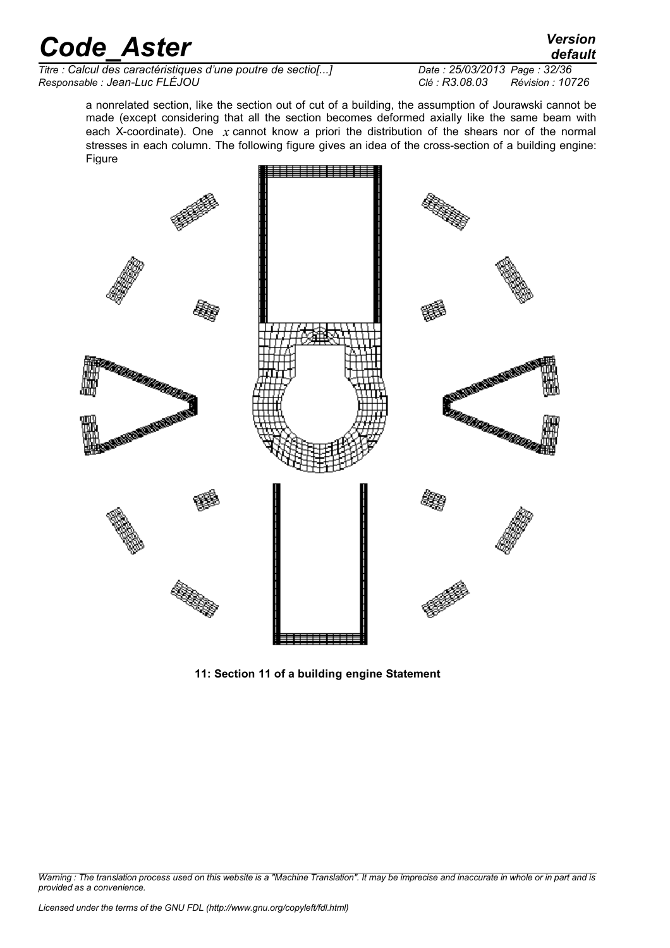*Titre : Calcul des caractéristiques d'une poutre de sectio[...] Date : 25/03/2013 Page : 32/36 Responsable : Jean-Luc FLÉJOU Clé : R3.08.03 Révision : 10726*

a nonrelated section, like the section out of cut of a building, the assumption of Jourawski cannot be made (except considering that all the section becomes deformed axially like the same beam with each X-coordinate). One *x* cannot know a priori the distribution of the shears nor of the normal stresses in each column. The following figure gives an idea of the cross-section of a building engine: Figure



**11: Section 11 of a building engine Statement**

*Warning : The translation process used on this website is a "Machine Translation". It may be imprecise and inaccurate in whole or in part and is provided as a convenience.*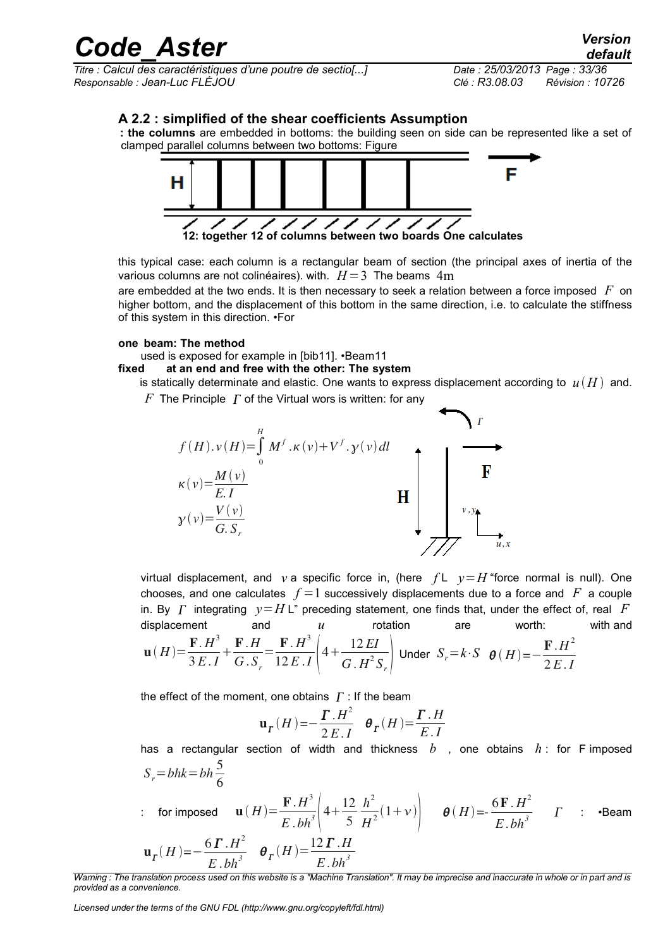*Titre : Calcul des caractéristiques d'une poutre de sectio[...] Date : 25/03/2013 Page : 33/36 Responsable : Jean-Luc FLÉJOU Clé : R3.08.03 Révision : 10726*

#### **A 2.2 : simplified of the shear coefficients Assumption**

**: the columns** are embedded in bottoms: the building seen on side can be represented like a set of clamped parallel columns between two bottoms: Figure

<span id="page-32-0"></span>

this typical case: each column is a rectangular beam of section (the principal axes of inertia of the various columns are not colinéaires). with.  $H=3$  The beams  $4m$ 

are embedded at the two ends. It is then necessary to seek a relation between a force imposed *F* on higher bottom, and the displacement of this bottom in the same direction, i.e. to calculate the stiffness of this system in this direction. •For

#### **one beam: The method**

used is exposed for example in [bib11]. •Bea[m11](#page-22-8)

**fixed at an end and free with the other: The system**

is statically determinate and elastic. One wants to express displacement according to  $u(H)$  and.

*F* The Principle *T* of the Virtual wors is written: for any



virtual displacement, and *v* a specific force in, (here  $f \cup y = H$  "force normal is null). One chooses, and one calculates  $f = 1$  successively displacements due to a force and  $F$  a couple in. By  $\Gamma$  integrating  $y=H L^{\infty}$  preceding statement, one finds that, under the effect of, real  $F$ displacement and *u* rotation are worth: with and  $\mathbf{u}(H) = \frac{\mathbf{F} \cdot H^3}{2 \mathbf{F} \cdot H^3}$ 3 *E*. *I*  $+\frac{F.H}{G.G}$ *G* .*S<sup>r</sup>*  $=\frac{F.H^3}{12F}$  $12 E. I$  $4 + \frac{12EI}{a}$  $\left(\frac{12EI}{G.H^2S_r}\right)$  Under  $S_r = k \cdot S$   $\theta(H) = -\frac{F.H^2}{2E.I}$ 2 *E*. *I*

the effect of the moment, one obtains  $\Gamma$  : If the beam

$$
\mathbf{u}_{\Gamma}(H) = -\frac{\Gamma \cdot H^2}{2E \cdot I} \quad \theta_{\Gamma}(H) = \frac{\Gamma \cdot H}{E \cdot I}
$$

has a rectangular section of width and thickness *b* , one obtains *h* : for F imposed  $S_r = bhk = bh\frac{5}{6}$ 

$$
\begin{aligned}\n\text{for imposed} \quad \mathbf{u}(H) &= \frac{\mathbf{F} \cdot H^3}{E \cdot bh^3} \left( 4 + \frac{12}{5} \frac{h^2}{H^2} (1 + \nu) \right) \\
\mathbf{u}_r(H) &= -\frac{6\mathbf{\Gamma} \cdot H^2}{E \cdot bh^3} \\
\mathbf{u}_r(H) &= -\frac{6\mathbf{\Gamma} \cdot H^2}{E \cdot bh^3} \\
\mathbf{v}_r(H) &= \frac{12\mathbf{\Gamma} \cdot H}{E \cdot bh^3}\n\end{aligned}
$$
\nEquation (H) = 6F

*Warning : The translation process used on this website is a "Machine Translation". It may be imprecise and inaccurate in whole or in part and is provided as a convenience.*

*Licensed under the terms of the GNU FDL (http://www.gnu.org/copyleft/fdl.html)*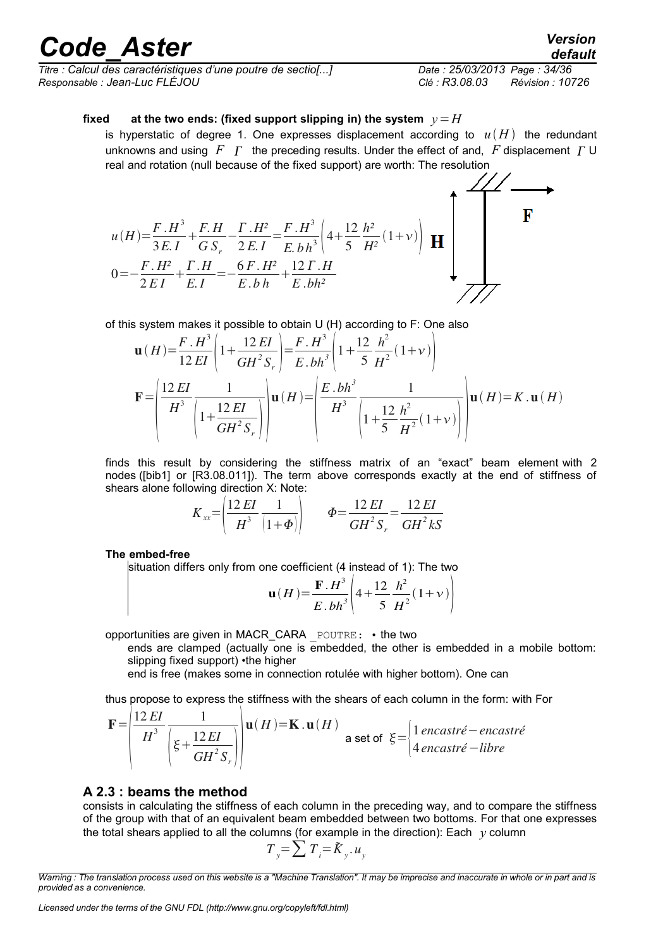*Titre : Calcul des caractéristiques d'une poutre de sectio[...] Date : 25/03/2013 Page : 34/36 Responsable : Jean-Luc FLÉJOU Clé : R3.08.03 Révision : 10726*

#### **fixed** at the two ends: (fixed support slipping in) the system  $y = H$

is hyperstatic of degree 1. One expresses displacement according to  $u(H)$  the redundant unknowns and using  $F \Gamma$  the preceding results. Under the effect of and,  $F$  displacement  $\Gamma$  U real and rotation (null because of the fixed support) are worth: The resolution



of this system makes it possible to obtain U (H) according to F: One also

$$
\mathbf{u}(H) = \frac{F \cdot H^3}{12 EI} \left( 1 + \frac{12 EI}{GH^2 S_r} \right) = \frac{F \cdot H^3}{E \cdot bh^3} \left( 1 + \frac{12 h^2}{5 H^2} (1 + v) \right)
$$
  
\n
$$
\mathbf{F} = \left( \frac{12 EI}{H^3} \frac{1}{\left( 1 + \frac{12 EI}{GH^2 S_r} \right)} \right) \mathbf{u}(H) = \left( \frac{E \cdot bh^3}{H^3} \frac{1}{\left( 1 + \frac{12 h^2}{5 H^2} (1 + v) \right)} \right) \mathbf{u}(H) = K \cdot \mathbf{u}(H)
$$

finds this result by considering the stiffness matrix of an "exact" beam element with 2 nodes ([bib1] or [R3.08.0[11\]](#page-22-6)). The term above corresponds exactly at the end of stiffness of shears alone following direction X: Note:

$$
K_{xx} = \left(\frac{12\,EI}{H^3} \frac{1}{(1+\Phi)}\right) \qquad \Phi = \frac{12\,EI}{GH^2S} = \frac{12\,EI}{GH^2\,kS}
$$

#### **The embed-free**

situation differs only from one coefficient (4 instead of 1): The two

$$
\mathbf{u}(H) = \frac{\mathbf{F} \cdot H^3}{E \cdot bh^3} \left( 4 + \frac{12}{5} \frac{h^2}{H^2} (1 + \nu) \right)
$$

opportunities are given in MACR\_CARA \_POUTRE: • the two

ends are clamped (actually one is embedded, the other is embedded in a mobile bottom: slipping fixed support) •the higher

end is free (makes some in connection rotulée with higher bottom). One can

thus propose to express the stiffness with the shears of each column in the form: with For

$$
\mathbf{F} = \left| \frac{12 EI}{H^3} \frac{1}{\left| \xi + \frac{12 EI}{GH^2 S_r} \right|} \right| \mathbf{u}(H) = \mathbf{K} \cdot \mathbf{u}(H) \quad \text{a set of } \xi = \begin{cases} 1 \text{ encastr\'e-encastr\'e} \\ 4 \text{ encastr\'e-libre} \end{cases}
$$

#### <span id="page-33-0"></span>**A 2.3 : beams the method**

consists in calculating the stiffness of each column in the preceding way, and to compare the stiffness of the group with that of an equivalent beam embedded between two bottoms. For that one expresses the total shears applied to all the columns (for example in the direction): Each *y* column

$$
T_y = \sum T_i = \tilde{K}_y . u_y
$$

*Warning : The translation process used on this website is a "Machine Translation". It may be imprecise and inaccurate in whole or in part and is provided as a convenience.*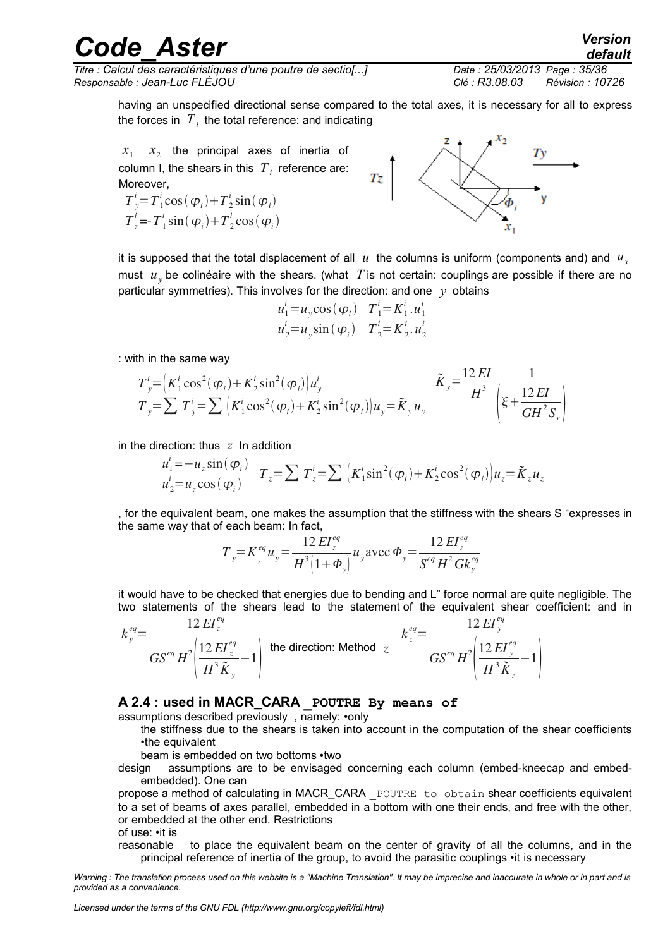*Titre : Calcul des caractéristiques d'une poutre de sectio[...] Date : 25/03/2013 Page : 35/36 Responsable : Jean-Luc FLÉJOU Clé : R3.08.03 Révision : 10726*

having an unspecified directional sense compared to the total axes, it is necessary for all to express the forces in  $\left\langle T\right\rangle _{i}$  the total reference: and indicating

 $x_1$   $x_2$  the principal axes of inertia of column I, the shears in this  $T_{\,i}^{\,}$  reference are: Moreover,

 $T_y^i = T_1^i \cos(\varphi_i) + T_2^i \sin(\varphi_i)$  $T_z^i = -T_1^i \sin(\varphi_i) + T_2^i \cos(\varphi_i)$ 



12 *EI*

it is supposed that the total displacement of all  $u$  the columns is uniform (components and) and  $u_x$ must *u<sup>y</sup>* be colinéaire with the shears. (what *T* is not certain: couplings are possible if there are no particular symmetries). This involves for the direction: and one  $y$  obtains

$$
u_1^i = u_y \cos(\varphi_i) \quad T_1^i = K_1^i \cdot u_1^i
$$
  

$$
u_2^i = u_y \sin(\varphi_i) \quad T_2^i = K_2^i \cdot u_2^i
$$

: with in the same way

$$
T_{y}^{i} = \left(K_{1}^{i} \cos^{2}(\varphi_{i}) + K_{2}^{i} \sin^{2}(\varphi_{i})\right) u_{y}^{i}
$$
  
\n
$$
T_{y} = \sum T_{y}^{i} = \sum \left(K_{1}^{i} \cos^{2}(\varphi_{i}) + K_{2}^{i} \sin^{2}(\varphi_{i})\right) u_{y} = \tilde{K}_{y} u_{y}
$$
  
\n
$$
\tilde{K}_{y} = \frac{12EI}{H^{3}} \frac{1}{\left(\xi + \frac{12EI}{GH^{2}S_{r}}\right)}
$$

in the direction: thus *z* In addition

$$
u_1^i = -u_z \sin(\varphi_i) \quad T_z = \sum T_z^i = \sum \left( K_1^i \sin^2(\varphi_i) + K_2^i \cos^2(\varphi_i) \right) u_z = \tilde{K}_z u_z
$$

, for the equivalent beam, one makes the assumption that the stiffness with the shears S "expresses in the same way that of each beam: In fact,

$$
T_{y} = K_{y}^{eq} u_{y} = \frac{12 \, EI_{z}^{eq}}{H^{3} (1 + \Phi_{y})} u_{y} \text{ avec } \Phi_{y} = \frac{12 \, EI_{z}^{eq}}{S^{eq} H^{2} G k_{y}^{eq}}
$$

it would have to be checked that energies due to bending and L" force normal are quite negligible. The two statements of the shears lead to the statement of the equivalent shear coefficient: and in

$$
k_{y}^{eq} = \frac{12EI_{z}^{eq}}{GS^{eq}H^{2}\left(\frac{12EI_{z}^{eq}}{H^{3}\tilde{K}_{y}} - 1\right)}
$$
 the direction: Method  $z$  
$$
k_{z}^{eq} = \frac{12EI_{y}^{eq}}{GS^{eq}H^{2}\left(\frac{12EI_{y}^{eq}}{H^{3}\tilde{K}_{z}} - 1\right)}
$$

#### **A 2.4 : used in MACR\_CARA \_POUTRE By means of**

assumptions described previously , namely: •only

<span id="page-34-0"></span>the stiffness due to the shears is taken into account in the computation of the shear coefficients •the equivalent

beam is embedded on two bottoms •two

design assumptions are to be envisaged concerning each column (embed-kneecap and embedembedded). One can

propose a method of calculating in MACR\_CARA \_POUTRE to obtain shear coefficients equivalent to a set of beams of axes parallel, embedded in a bottom with one their ends, and free with the other, or embedded at the other end. Restrictions of use: •it is

reasonable to place the equivalent beam on the center of gravity of all the columns, and in the principal reference of inertia of the group, to avoid the parasitic couplings •it is necessary

*Warning : The translation process used on this website is a "Machine Translation". It may be imprecise and inaccurate in whole or in part and is provided as a convenience.*